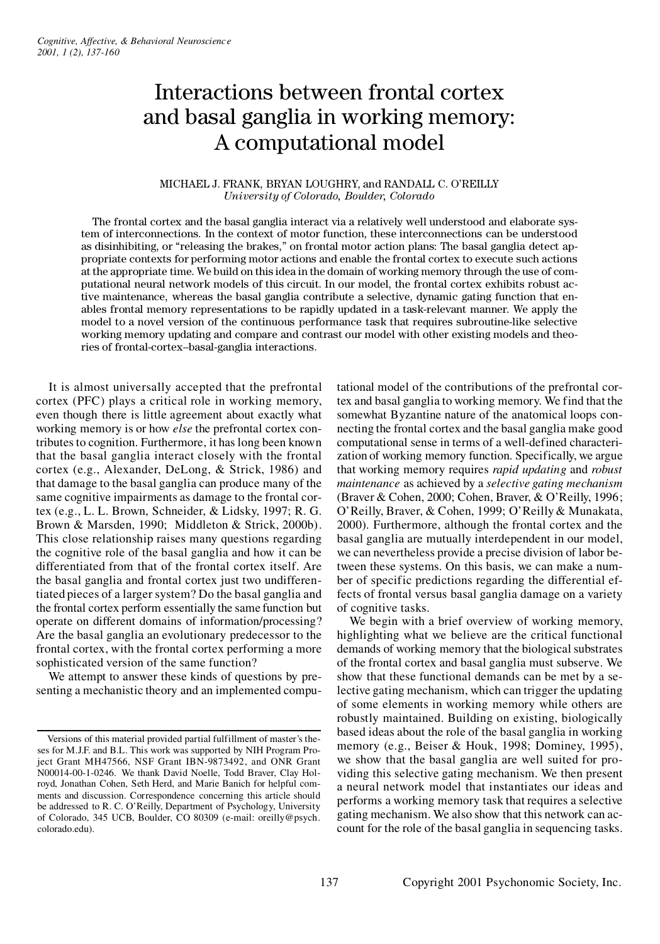# Interactions between frontal cortex and basal ganglia in working memory: A computational model

### MICHAEL J. FRANK, BRYAN LOUGHRY, and RANDALL C. O'REILLY *University of Colorado, Boulder, Colorado*

The frontal cortex and the basal ganglia interact via a relatively well understood and elaborate system of interconnections. In the context of motor function, these interconnections can be understood as disinhibiting, or "releasing the brakes," on frontal motor action plans: The basal ganglia detect ap propriate contexts for performing motor actions and enable the frontal cortex to execute such actions at the appropriate time. We build on this idea in the domain of working memory through the use of com putational neural network models of this circuit. In our model, the frontal cortex exhibits robust active maintenance, whereas the basal ganglia contribute a selective, dynamic gating function that en ables frontal memory representations to be rapidly updated in a task-relevant manner. We apply the model to a novel version of the continuous performance task that requires subroutine-like selective working memory updating and compare and contrast our model with other existing models and theo ries of frontal-cortex–basal-ganglia interactions.

It is almost universally accepted that the prefrontal cortex (PFC) plays a critical role in working memory, even though there is little agreement about exactly what working memory is or how *else* the prefrontal cortex contributes to cognition. Furthermore, it has long been known that the basal ganglia interact closely with the frontal cortex (e.g., Alexander, DeLong, & Strick, 1986) and that damage to the basal ganglia can produce many of the same cognitive impairments as damage to the frontal cortex (e.g., L. L. Brown, Schneider, & Lidsky, 1997; R. G. Brown & Marsden, 1990; Middleton & Strick, 2000b). This close relationship raises many questions regarding the cognitive role of the basal ganglia and how it can be differentiated from that of the frontal cortex itself. Are the basal ganglia and frontal cortex just two undifferentiated pieces of a larger system? Do the basal ganglia and the frontal cortex perform essentially the same function but operate on different domains of information/processing? Are the basal ganglia an evolutionary predecessor to the frontal cortex, with the frontal cortex performing a more sophisticated version of the same function?

We attempt to answer these kinds of questions by pre senting a mechanistic theory and an implemented computational model of the contributions of the prefrontal cortex and basal ganglia to working memory. We find that the somewhat Byzantine nature of the anatomical loops con necting the frontal cortex and the basal ganglia make good computational sense in terms of a well-defined characteri zation of working memory function. Specifically, we argue that working memory requires *rapid updating* and *robust maintenance* as achieved by a *selective gating mechanism* (Braver & Cohen, 2000; Cohen, Braver, & O'Reilly, 1996; O'Reilly, Braver, & Cohen, 1999; O'Reilly & Munakata, 2000). Furthermore, although the frontal cortex and the basal ganglia are mutually interdependent in our model, we can nevertheless provide a precise division of labor between these systems. On this basis, we can make a num ber of specific predictions regarding the differential effects of frontal versus basal ganglia damage on a variety of cognitive tasks.

We begin with a brief overview of working memory, highlighting what we believe are the critical functional demands of working memory that the biological substrates of the frontal cortex and basal ganglia must subserve. We show that these functional demands can be met by a selective gating mechanism, which can trigger the updating of some elements in working memory while others are robustly maintained. Building on existing, biologically based ideas about the role of the basal ganglia in working memory (e.g., Beiser & Houk, 1998; Dominey, 1995), we show that the basal ganglia are well suited for pro viding this selective gating mechanism. We then present a neural network model that instantiates our ideas and performs a working memory task that requires a selective gating mechanism. We also show that this network can ac count for the role of the basal ganglia in sequencing tasks.

Versions of this material provided partial fulfillment of master's the ses for M.J.F. and B.L. This work was supported by NIH Program Project Grant MH47566, NSF Grant IBN-9873492, and ONR Grant N00014-00-1-0246. We thank David Noelle, Todd Braver, Clay Holroyd, Jonathan Cohen, Seth Herd, and Marie Banich for helpful com ments and discussion. Correspondence concerning this article should be addressed to R. C. O'Reilly, Department of Psychology, University of Colorado, 345 UCB, Boulder, CO 80309 (e-mail: oreilly@psych. colorado.edu).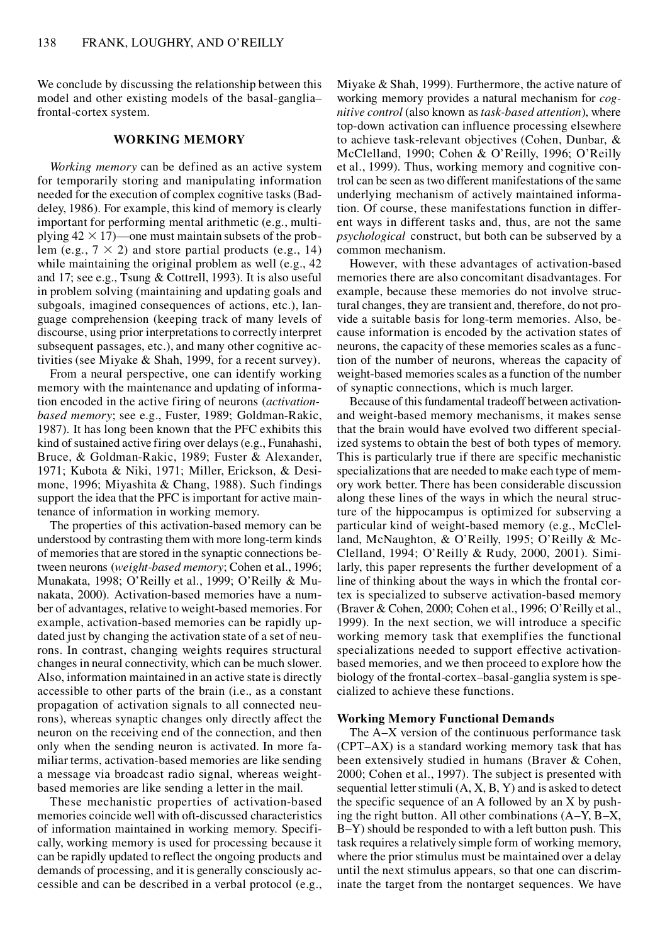We conclude by discussing the relationship between this model and other existing models of the basal-ganglia– frontal-cortex system.

## **WORKING MEMORY**

*Working memory* can be defined as an active system for temporarily storing and manipulating information needed for the execution of complex cognitive tasks (Bad deley, 1986). For example, this kind of memory is clearly important for performing mental arithmetic (e.g., multi plying  $42 \times 17$ )—one must maintain subsets of the problem (e.g.,  $7 \times 2$ ) and store partial products (e.g., 14) while maintaining the original problem as well (e.g., 42) and 17; see e.g., Tsung & Cottrell, 1993). It is also useful in problem solving (maintaining and updating goals and subgoals, imagined consequences of actions, etc.), lan guage comprehension (keeping track of many levels of discourse, using prior interpretations to correctly interpret subsequent passages, etc.), and many other cognitive activities (see Miyake & Shah, 1999, for a recent survey).

From a neural perspective, one can identify working memory with the maintenance and updating of information encoded in the active firing of neurons (*activationbased memory*; see e.g., Fuster, 1989; Goldman-Rakic, 1987). It has long been known that the PFC exhibits this kind of sustained active firing over delays (e.g., Funahashi, Bruce, & Goldman-Rakic, 1989; Fuster & Alexander, 1971; Kubota & Niki, 1971; Miller, Erickson, & Desi mone, 1996; Miyashita & Chang, 1988). Such findings support the idea that the PFC is important for active maintenance of information in working memory.

The properties of this activation-based memory can be understood by contrasting them with more long-term kinds of memories that are stored in the synaptic connections between neurons (*weight-based memory*; Cohen et al., 1996; Munakata, 1998; O'Reilly et al., 1999; O'Reilly & Mu nakata, 2000). Activation-based memories have a num ber of advantages, relative to weight-based memories. For example, activation-based memories can be rapidly up dated just by changing the activation state of a set of neurons. In contrast, changing weights requires structural changes in neural connectivity, which can be much slower. Also, information maintained in an active state is directly accessible to other parts of the brain (i.e., as a constant propagation of activation signals to all connected neurons), whereas synaptic changes only directly affect the neuron on the receiving end of the connection, and then only when the sending neuron is activated. In more fa miliar terms, activation-based memories are like sending a message via broadcast radio signal, whereas weight based memories are like sending a letter in the mail.

These mechanistic properties of activation-based memories coincide well with oft-discussed characteristics of information maintained in working memory. Specifically, working memory is used for processing because it can be rapidly updated to reflect the ongoing products and demands of processing, and it is generally consciously ac cessible and can be described in a verbal protocol (e.g.,

Miyake & Shah, 1999). Furthermore, the active nature of working memory provides a natural mechanism for *cognitive control* (also known as *task-based attention*), where top-down activation can influence processing elsewhere to achieve task-relevant objectives (Cohen, Dunbar, & McClelland, 1990; Cohen & O'Reilly, 1996; O'Reilly et al., 1999). Thus, working memory and cognitive control can be seen as two different manifestations of the same underlying mechanism of actively maintained information. Of course, these manifestations function in differ ent ways in different tasks and, thus, are not the same *psychological* construct, but both can be subserved by a common mechanism.

However, with these advantages of activation-based memories there are also concomitant disadvantages. For example, because these memories do not involve structural changes, they are transient and, therefore, do not pro vide a suitable basis for long-term memories. Also, be cause information is encoded by the activation states of neurons, the capacity of these memories scales as a function of the number of neurons, whereas the capacity of weight-based memories scales as a function of the number of synaptic connections, which is much larger.

Because of this fundamental tradeoff between activation and weight-based memory mechanisms, it makes sense that the brain would have evolved two different specialized systems to obtain the best of both types of memory. This is particularly true if there are specific mechanistic specializations that are needed to make each type of mem ory work better. There has been considerable discussion along these lines of the ways in which the neural structure of the hippocampus is optimized for subserving a particular kind of weight-based memory (e.g., McClelland, McNaughton, & O'Reilly, 1995; O'Reilly & Mc- Clelland, 1994; O'Reilly & Rudy, 2000, 2001). Similarly, this paper represents the further development of a line of thinking about the ways in which the frontal cortex is specialized to subserve activation-based memory (Braver & Cohen, 2000; Cohen et al., 1996; O'Reilly et al., 1999). In the next section, we will introduce a specific working memory task that exemplifies the functional specializations needed to support effective activation based memories, and we then proceed to explore how the biology of the frontal-cortex–basal-ganglia system is spe cialized to achieve these functions.

#### **Working Memory Functional Demands**

The A–X version of the continuous performance task (CPT–AX) is a standard working memory task that has been extensively studied in humans (Braver & Cohen, 2000; Cohen et al., 1997). The subject is presented with sequential letter stimuli (A, X, B, Y) and is asked to detect the specific sequence of an A followed by an X by pushing the right button. All other combinations (A–Y, B–X, B–Y) should be responded to with a left button push. This task requires a relatively simple form of working memory, where the prior stimulus must be maintained over a delay until the next stimulus appears, so that one can discriminate the target from the nontarget sequences. We have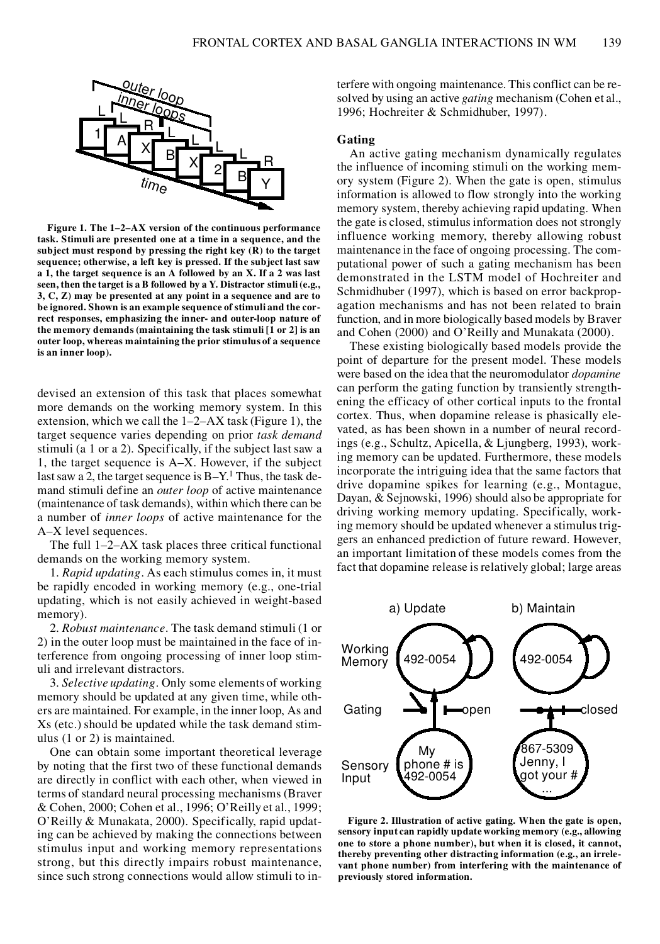

**Figure 1. The 1–2–AX version of the continuous performance task. Stimuli are presented one at a time in a sequence, and the subject must respond by pressing the right key (R) to the target sequence; otherwise, a left key is pressed. If the subject last saw a 1, the target sequence is an A followed by an X. If a 2 was last seen, then the target is a B followed by a Y. Distractor stimuli (e.g., 3, C, Z) may be presented at any point in a sequence and are to be ignored. Shown is an example sequence of stimuli and the cor rect responses, emphasizing the inner- and outer-loop nature of the memory demands (maintaining the task stimuli [1 or 2] is an outer loop, whereas maintaining the prior stimulus of a sequence is an inner loop).**

devised an extension of this task that places somewhat more demands on the working memory system. In this extension, which we call the 1–2–AX task (Figure 1), the target sequence varies depending on prior *task demand* stimuli (a 1 or a 2). Specifically, if the subject last saw a 1, the target sequence is A–X. However, if the subject last saw a 2, the target sequence is  $B-Y<sup>1</sup>$ . Thus, the task demand stimuli define an *outer loop* of active maintenance (maintenance of task demands), within which there can be a number of *inner loops* of active maintenance for the A–X level sequences.

The full 1–2–AX task places three critical functional demands on the working memory system.

1. *Rapid updating*. As each stimulus comes in, it must be rapidly encoded in working memory (e.g., one-trial updating, which is not easily achieved in weight-based memory).

2. *Robust maintenance*. The task demand stimuli (1 or 2) in the outer loop must be maintained in the face of interference from ongoing processing of inner loop stim uli and irrelevant distractors.

3. *Selective updating*. Only some elements of working memory should be updated at any given time, while oth ers are maintained. For example, in the inner loop, As and Xs (etc.) should be updated while the task demand stim ulus (1 or 2) is maintained.

One can obtain some important theoretical leverage by noting that the first two of these functional demands are directly in conflict with each other, when viewed in terms of standard neural processing mechanisms (Braver & Cohen, 2000; Cohen et al., 1996; O'Reilly et al., 1999; O'Reilly & Munakata, 2000). Specifically, rapid updating can be achieved by making the connections between stimulus input and working memory representations strong, but this directly impairs robust maintenance, since such strong connections would allow stimuli to interfere with ongoing maintenance. This conflict can be re solved by using an active *gating* mechanism (Cohen et al., 1996; Hochreiter & Schmidhuber, 1997).

#### **Gating**

An active gating mechanism dynamically regulates the influence of incoming stimuli on the working mem ory system (Figure 2). When the gate is open, stimulus information is allowed to flow strongly into the working memory system, thereby achieving rapid updating. When the gate is closed, stimulus information does not strongly influence working memory, thereby allowing robust maintenance in the face of ongoing processing. The com putational power of such a gating mechanism has been demonstrated in the LSTM model of Hochreiter and Schmidhuber (1997), which is based on error backpropagation mechanisms and has not been related to brain function, and in more biologically based models by Braver and Cohen (2000) and O'Reilly and Munakata (2000).

These existing biologically based models provide the point of departure for the present model. These models were based on the idea that the neuromodulator *dopamine* can perform the gating function by transiently strength ening the efficacy of other cortical inputs to the frontal cortex. Thus, when dopamine release is phasically ele vated, as has been shown in a number of neural recordings (e.g., Schultz, Apicella, & Ljungberg, 1993), working memory can be updated. Furthermore, these models incorporate the intriguing idea that the same factors that drive dopamine spikes for learning (e.g., Montague, Dayan, & Sejnowski, 1996) should also be appropriate for driving working memory updating. Specifically, working memory should be updated whenever a stimulus trig gers an enhanced prediction of future reward. However, an important limitation of these models comes from the fact that dopamine release is relatively global; large areas



**Figure 2. Illustration of active gating. When the gate is open, sensory input can rapidly update working memory (e.g., allowing one to store a phone number), but when it is closed, it cannot, thereby preventing other distracting information (e.g., an irrele vant phone number) from interfering with the maintenance of previously stored information.**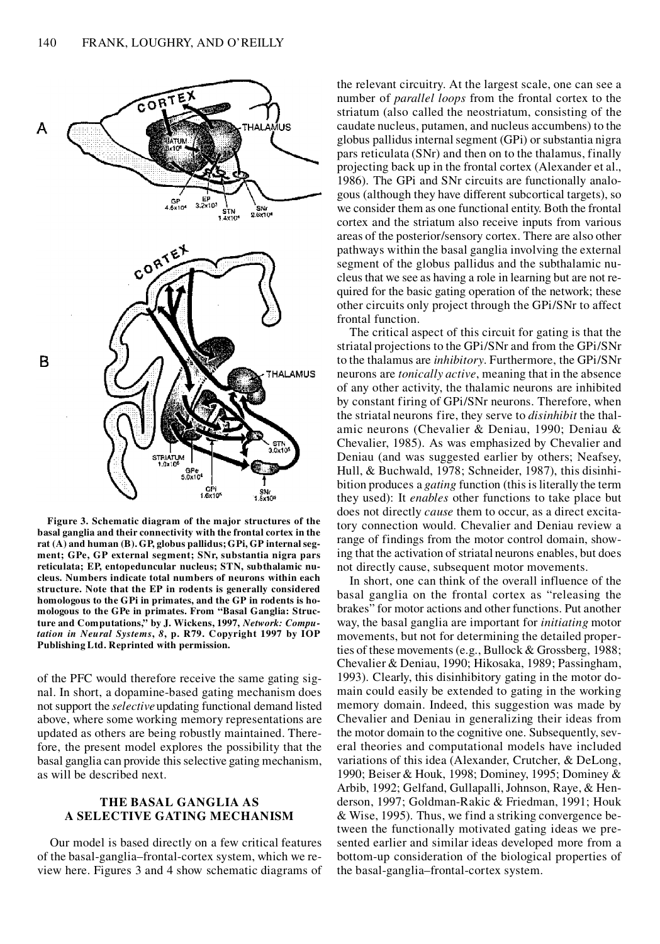

**Figure 3. Schematic diagram of the major structures of the basal ganglia and their connectivity with the frontal cortex in the rat (A) and human (B). GP, globus pallidus; GPi, GP internal seg ment; GPe, GP external segment; SNr, substantia nigra pars reticulata; EP, entopeduncular nucleus; STN, subthalamic nu cleus. Numbers indicate total numbers of neurons within each structure. Note that the EP in rodents is generally considered homologous to the GPi in primates, and the GP in rodents is ho mologous to the GPe in primates. From "Basal Ganglia: Structure and Computations," by J. Wickens, 1997,** *Network: Computation in Neural Systems***,** *8***, p. R79. Copyright 1997 by IOP Publishing Ltd. Reprinted with permission.**

of the PFC would therefore receive the same gating sig nal. In short, a dopamine-based gating mechanism does not support the *selective*updating functional demand listed above, where some working memory representations are updated as others are being robustly maintained. Therefore, the present model explores the possibility that the basal ganglia can provide this selective gating mechanism, as will be described next.

## **THE BASAL GANGLIA AS A SELECTIVE GATING MECHANISM**

Our model is based directly on a few critical features of the basal-ganglia–frontal-cortex system, which we re view here. Figures 3 and 4 show schematic diagrams of the relevant circuitry. At the largest scale, one can see a number of *parallel loops* from the frontal cortex to the striatum (also called the neostriatum, consisting of the caudate nucleus, putamen, and nucleus accumbens) to the globus pallidus internal segment (GPi) or substantia nigra pars reticulata (SNr) and then on to the thalamus, finally projecting back up in the frontal cortex (Alexander et al., 1986). The GPi and SNr circuits are functionally analo gous (although they have different subcortical targets), so we consider them as one functional entity. Both the frontal cortex and the striatum also receive inputs from various areas of the posterior/sensory cortex. There are also other pathways within the basal ganglia involving the external segment of the globus pallidus and the subthalamic nu cleus that we see as having a role in learning but are not re quired for the basic gating operation of the network; these other circuits only project through the GPi/SNr to affect frontal function.

The critical aspect of this circuit for gating is that the striatal projections to the GPi/SNr and from the GPi/SNr to the thalamus are *inhibitory*. Furthermore, the GPi/SNr neurons are *tonically active*, meaning that in the absence of any other activity, the thalamic neurons are inhibited by constant firing of GPi/SNr neurons. Therefore, when the striatal neurons fire, they serve to *disinhibit* the thalamic neurons (Chevalier & Deniau, 1990; Deniau & Chevalier, 1985). As was emphasized by Chevalier and Deniau (and was suggested earlier by others; Neafsey, Hull, & Buchwald, 1978; Schneider, 1987), this disinhi bition produces a *gating* function (this is literally the term they used): It *enables* other functions to take place but does not directly *cause* them to occur, as a direct excitatory connection would. Chevalier and Deniau review a range of findings from the motor control domain, showing that the activation of striatal neurons enables, but does not directly cause, subsequent motor movements.

In short, one can think of the overall influence of the basal ganglia on the frontal cortex as "releasing the brakes" for motor actions and other functions. Put another way, the basal ganglia are important for *initiating* motor movements, but not for determining the detailed properties of these movements (e.g., Bullock & Grossberg, 1988; Chevalier & Deniau, 1990; Hikosaka, 1989; Passingham, 1993). Clearly, this disinhibitory gating in the motor do main could easily be extended to gating in the working memory domain. Indeed, this suggestion was made by Chevalier and Deniau in generalizing their ideas from the motor domain to the cognitive one. Subsequently, sev eral theories and computational models have included variations of this idea (Alexander, Crutcher, & DeLong, 1990; Beiser & Houk, 1998; Dominey, 1995; Dominey & Arbib, 1992; Gelfand, Gullapalli, Johnson, Raye, & Hen derson, 1997; Goldman-Rakic & Friedman, 1991; Houk & Wise, 1995). Thus, we find a striking convergence between the functionally motivated gating ideas we pre sented earlier and similar ideas developed more from a bottom-up consideration of the biological properties of the basal-ganglia–frontal-cortex system.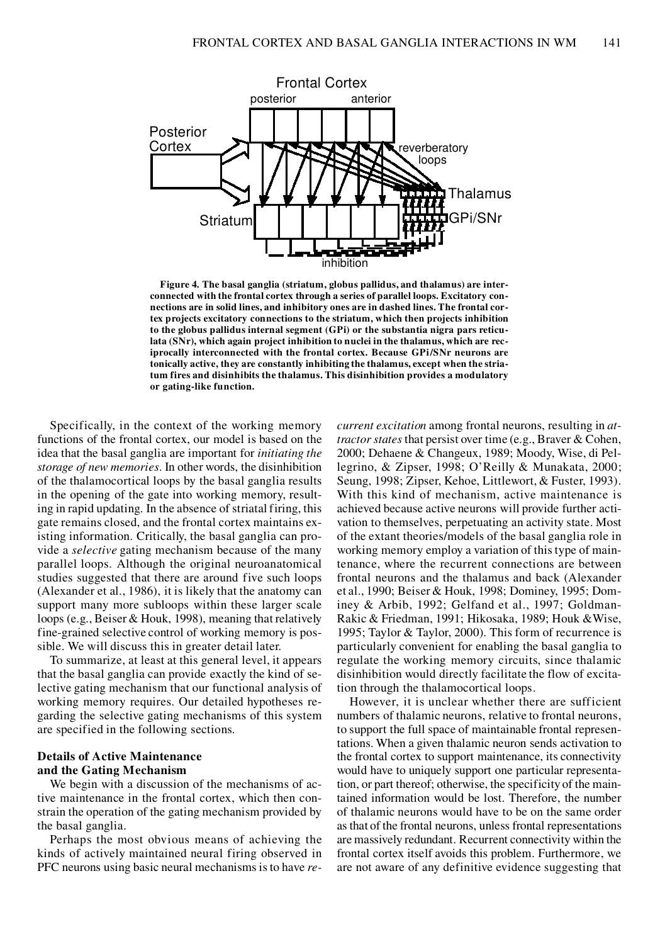

**Figure 4. The basal ganglia (striatum, globus pallidus, and thalamus) are inter connected with the frontal cortex through a series of parallel loops. Excitatory con nections are in solid lines, and inhibitory ones are in dashed lines. The frontal cortex projects excitatory connections to the striatum, which then projects inhibition to the globus pallidus internal segment (GPi) or the substantia nigra pars reticulata (SNr), which again project inhibition to nuclei in the thalamus, which are reciprocally interconnected with the frontal cortex. Because GPi/SNr neurons are tonically active, they are constantly inhibiting the thalamus, except when the striatum fires and disinhibits the thalamus. This disinhibition provides a modulatory or gating-like function.**

Specifically, in the context of the working memory functions of the frontal cortex, our model is based on the idea that the basal ganglia are important for *initiating the storage of new memories*. In other words, the disinhibition of the thalamocortical loops by the basal ganglia results in the opening of the gate into working memory, resulting in rapid updating. In the absence of striatal firing, this gate remains closed, and the frontal cortex maintains existing information. Critically, the basal ganglia can pro vide a *selective* gating mechanism because of the many parallel loops. Although the original neuroanatomical studies suggested that there are around five such loops (Alexander et al., 1986), it is likely that the anatomy can support many more subloops within these larger scale loops (e.g., Beiser & Houk, 1998), meaning that relatively fine-grained selective control of working memory is pos sible. We will discuss this in greater detail later.

To summarize, at least at this general level, it appears that the basal ganglia can provide exactly the kind of selective gating mechanism that our functional analysis of working memory requires. Our detailed hypotheses re garding the selective gating mechanisms of this system are specified in the following sections.

# **Details of Active Maintenance and the Gating Mechanism**

We begin with a discussion of the mechanisms of active maintenance in the frontal cortex, which then con strain the operation of the gating mechanism provided by the basal ganglia.

Perhaps the most obvious means of achieving the kinds of actively maintained neural firing observed in PFC neurons using basic neural mechanisms is to have *re-* *current excitation* among frontal neurons, resulting in *attractor states* that persist over time (e.g., Braver & Cohen, 2000; Dehaene & Changeux, 1989; Moody, Wise, di Pellegrino, & Zipser, 1998; O'Reilly & Munakata, 2000; Seung, 1998; Zipser, Kehoe, Littlewort, & Fuster, 1993). With this kind of mechanism, active maintenance is achieved because active neurons will provide further acti vation to themselves, perpetuating an activity state. Most of the extant theories/models of the basal ganglia role in working memory employ a variation of this type of maintenance, where the recurrent connections are between frontal neurons and the thalamus and back (Alexander et al., 1990; Beiser & Houk, 1998; Dominey, 1995; Dominey & Arbib, 1992; Gelfand et al., 1997; Goldman- Rakic & Friedman, 1991; Hikosaka, 1989; Houk &Wise, 1995; Taylor & Taylor, 2000). This form of recurrence is particularly convenient for enabling the basal ganglia to regulate the working memory circuits, since thalamic disinhibition would directly facilitate the flow of excitation through the thalamocortical loops.

However, it is unclear whether there are sufficient numbers of thalamic neurons, relative to frontal neurons, to support the full space of maintainable frontal representations. When a given thalamic neuron sends activation to the frontal cortex to support maintenance, its connectivity would have to uniquely support one particular representation, or part thereof; otherwise, the specificity of the maintained information would be lost. Therefore, the number of thalamic neurons would have to be on the same order as that of the frontal neurons, unless frontal representations are massively redundant. Recurrent connectivity within the frontal cortex itself avoids this problem. Furthermore, we are not aware of any definitive evidence suggesting that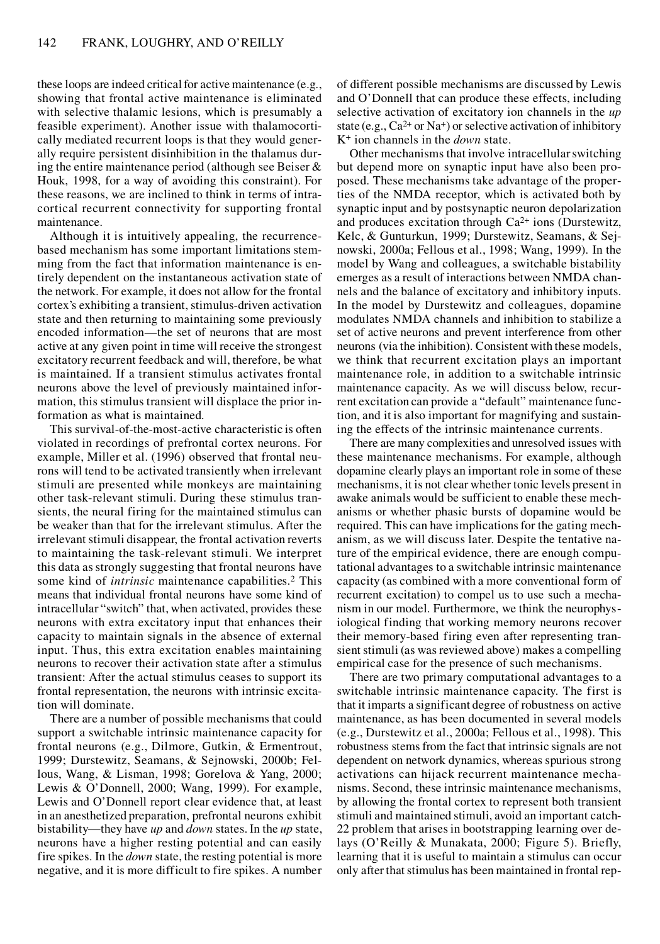these loops are indeed critical for active maintenance (e.g., showing that frontal active maintenance is eliminated with selective thalamic lesions, which is presumably a feasible experiment). Another issue with thalamocorti cally mediated recurrent loops is that they would gener ally require persistent disinhibition in the thalamus during the entire maintenance period (although see Beiser & Houk, 1998, for a way of avoiding this constraint). For these reasons, we are inclined to think in terms of intra cortical recurrent connectivity for supporting frontal maintenance.

Although it is intuitively appealing, the recurrence based mechanism has some important limitations stem ming from the fact that information maintenance is entirely dependent on the instantaneous activation state of the network. For example, it does not allow for the frontal cortex's exhibiting a transient, stimulus-driven activation state and then returning to maintaining some previously encoded information—the set of neurons that are most active at any given point in time will receive the strongest excitatory recurrent feedback and will, therefore, be what is maintained. If a transient stimulus activates frontal neurons above the level of previously maintained infor mation, this stimulus transient will displace the prior information as what is maintained.

This survival-of-the-most-active characteristic is often violated in recordings of prefrontal cortex neurons. For example, Miller et al. (1996) observed that frontal neurons will tend to be activated transiently when irrelevant stimuli are presented while monkeys are maintaining other task-relevant stimuli. During these stimulus tran sients, the neural firing for the maintained stimulus can be weaker than that for the irrelevant stimulus. After the irrelevant stimuli disappear, the frontal activation reverts to maintaining the task-relevant stimuli. We interpret this data as strongly suggesting that frontal neurons have some kind of *intrinsic* maintenance capabilities.2 This means that individual frontal neurons have some kind of intracellular "switch" that, when activated, provides these neurons with extra excitatory input that enhances their capacity to maintain signals in the absence of external input. Thus, this extra excitation enables maintaining neurons to recover their activation state after a stimulus transient: After the actual stimulus ceases to support its frontal representation, the neurons with intrinsic excitation will dominate.

There are a number of possible mechanisms that could support a switchable intrinsic maintenance capacity for frontal neurons (e.g., Dilmore, Gutkin, & Ermentrout, 1999; Durstewitz, Seamans, & Sejnowski, 2000b; Fellous, Wang, & Lisman, 1998; Gorelova & Yang, 2000; Lewis & O'Donnell, 2000; Wang, 1999). For example, Lewis and O'Donnell report clear evidence that, at least in an anesthetized preparation, prefrontal neurons exhibit bistability—they have *up* and *down* states. In the *up* state, neurons have a higher resting potential and can easily fire spikes. In the *down* state, the resting potential is more negative, and it is more difficult to fire spikes. A number

of different possible mechanisms are discussed by Lewis and O'Donnell that can produce these effects, including selective activation of excitatory ion channels in the *up* state (e.g.,  $Ca^{2+}$  or Na<sup>+</sup>) or selective activation of inhibitory K<sup>+</sup> ion channels in the *down* state.

Other mechanisms that involve intracellular switching but depend more on synaptic input have also been pro posed. These mechanisms take advantage of the properties of the NMDA receptor, which is activated both by synaptic input and by postsynaptic neuron depolarization and produces excitation through  $Ca^{2+}$  ions (Durstewitz, Kelc, & Gunturkun, 1999; Durstewitz, Seamans, & Sej nowski, 2000a; Fellous et al., 1998; Wang, 1999). In the model by Wang and colleagues, a switchable bistability emerges as a result of interactions between NMDA chan nels and the balance of excitatory and inhibitory inputs. In the model by Durstewitz and colleagues, dopamine modulates NMDA channels and inhibition to stabilize a set of active neurons and prevent interference from other neurons (via the inhibition). Consistent with these models, we think that recurrent excitation plays an important maintenance role, in addition to a switchable intrinsic maintenance capacity. As we will discuss below, recurrent excitation can provide a "default" maintenance function, and it is also important for magnifying and sustaining the effects of the intrinsic maintenance currents.

There are many complexities and unresolved issues with these maintenance mechanisms. For example, although dopamine clearly plays an important role in some of these mechanisms, it is not clear whether tonic levels present in awake animals would be sufficient to enable these mech anisms or whether phasic bursts of dopamine would be required. This can have implications for the gating mech anism, as we will discuss later. Despite the tentative nature of the empirical evidence, there are enough computational advantages to a switchable intrinsic maintenance capacity (as combined with a more conventional form of recurrent excitation) to compel us to use such a mecha nism in our model. Furthermore, we think the neurophysiological finding that working memory neurons recover their memory-based firing even after representing tran sient stimuli (as was reviewed above) makes a compelling empirical case for the presence of such mechanisms.

There are two primary computational advantages to a switchable intrinsic maintenance capacity. The first is that it imparts a significant degree of robustness on active maintenance, as has been documented in several models (e.g., Durstewitz et al., 2000a; Fellous et al., 1998). This robustness stems from the fact that intrinsic signals are not dependent on network dynamics, whereas spurious strong activations can hijack recurrent maintenance mecha nisms. Second, these intrinsic maintenance mechanisms, by allowing the frontal cortex to represent both transient stimuli and maintained stimuli, avoid an important catch- 22 problem that arises in bootstrapping learning over delays (O'Reilly & Munakata, 2000; Figure 5). Briefly, learning that it is useful to maintain a stimulus can occur only after that stimulus has been maintained in frontal rep-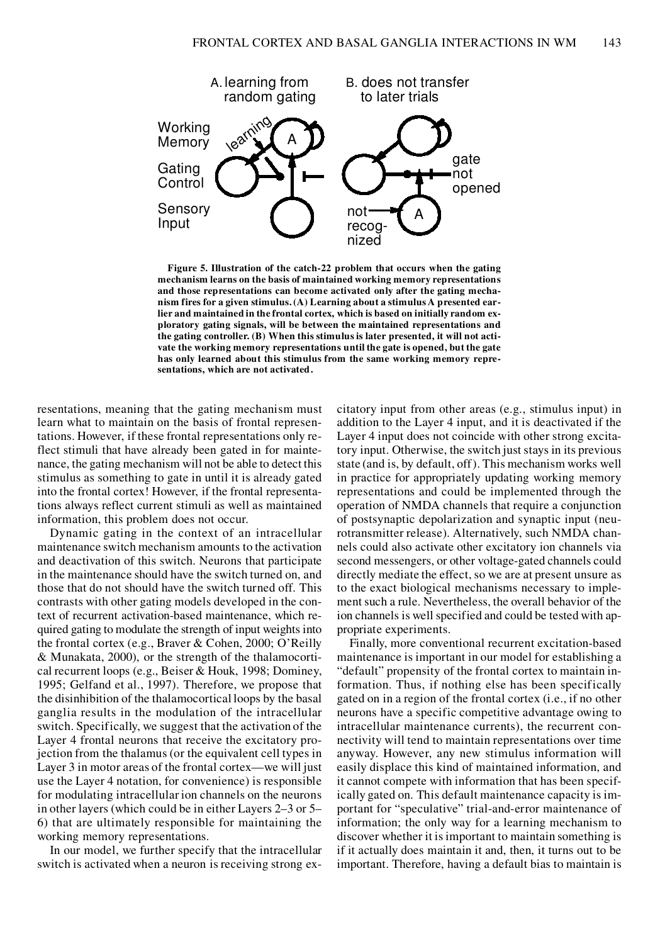

**Figure 5. Illustration of the catch-22 problem that occurs when the gating mechanism learns on the basis of maintained working memory representations and those representations can become activated only after the gating mecha nism fires for a given stimulus. (A) Learning about a stimulus A presented earlier and maintained in the frontal cortex, which is based on initially random ex ploratory gating signals, will be between the maintained representations and the gating controller. (B) When this stimulus is later presented, it will not acti vate the working memory representations until the gate is opened, but the gate has only learned about this stimulus from the same working memory repre sentations, which are not activated.**

resentations, meaning that the gating mechanism must learn what to maintain on the basis of frontal representations. However, if these frontal representations only reflect stimuli that have already been gated in for mainte nance, the gating mechanism will not be able to detect this stimulus as something to gate in until it is already gated into the frontal cortex! However, if the frontal representations always reflect current stimuli as well as maintained information, this problem does not occur.

Dynamic gating in the context of an intracellular maintenance switch mechanism amounts to the activation and deactivation of this switch. Neurons that participate in the maintenance should have the switch turned on, and those that do not should have the switch turned off. This contrasts with other gating models developed in the context of recurrent activation-based maintenance, which re quired gating to modulate the strength of input weights into the frontal cortex (e.g., Braver & Cohen, 2000; O'Reilly & Munakata, 2000), or the strength of the thalamocorti cal recurrent loops (e.g., Beiser & Houk, 1998; Dominey, 1995; Gelfand et al., 1997). Therefore, we propose that the disinhibition of the thalamocortical loops by the basal ganglia results in the modulation of the intracellular switch. Specifically, we suggest that the activation of the Layer 4 frontal neurons that receive the excitatory projection from the thalamus (or the equivalent cell types in Layer 3 in motor areas of the frontal cortex—we will just use the Layer 4 notation, for convenience) is responsible for modulating intracellular ion channels on the neurons in other layers (which could be in either Layers 2–3 or 5– 6) that are ultimately responsible for maintaining the working memory representations.

In our model, we further specify that the intracellular switch is activated when a neuron is receiving strong excitatory input from other areas (e.g., stimulus input) in addition to the Layer 4 input, and it is deactivated if the Layer 4 input does not coincide with other strong excitatory input. Otherwise, the switch just stays in its previous state (and is, by default, off). This mechanism works well in practice for appropriately updating working memory representations and could be implemented through the operation of NMDA channels that require a conjunction of postsynaptic depolarization and synaptic input (neurotransmitter release). Alternatively, such NMDA chan nels could also activate other excitatory ion channels via second messengers, or other voltage-gated channels could directly mediate the effect, so we are at present unsure as to the exact biological mechanisms necessary to imple ment such a rule. Nevertheless, the overall behavior of the ion channels is well specified and could be tested with ap propriate experiments.

Finally, more conventional recurrent excitation-based maintenance is important in our model for establishing a "default" propensity of the frontal cortex to maintain information. Thus, if nothing else has been specifically gated on in a region of the frontal cortex (i.e., if no other neurons have a specific competitive advantage owing to intracellular maintenance currents), the recurrent con nectivity will tend to maintain representations over time anyway. However, any new stimulus information will easily displace this kind of maintained information, and it cannot compete with information that has been specifically gated on. This default maintenance capacity is im portant for "speculative" trial-and-error maintenance of information; the only way for a learning mechanism to discover whether it is important to maintain something is if it actually does maintain it and, then, it turns out to be important. Therefore, having a default bias to maintain is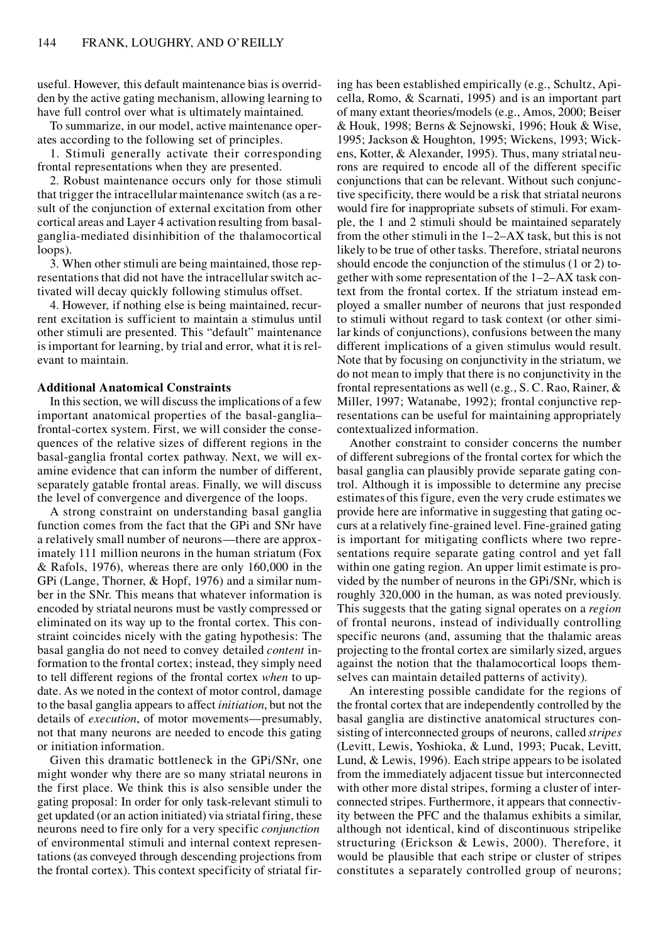useful. However, this default maintenance bias is overrid den by the active gating mechanism, allowing learning to have full control over what is ultimately maintained.

To summarize, in our model, active maintenance oper ates according to the following set of principles.

1. Stimuli generally activate their corresponding frontal representations when they are presented.

2. Robust maintenance occurs only for those stimuli that trigger the intracellular maintenance switch (as a re sult of the conjunction of external excitation from other cortical areas and Layer 4 activation resulting from basal ganglia-mediated disinhibition of the thalamocortical loops).

3. When other stimuli are being maintained, those representations that did not have the intracellular switch activated will decay quickly following stimulus offset.

4. However, if nothing else is being maintained, recurrent excitation is sufficient to maintain a stimulus until other stimuli are presented. This "default" maintenance is important for learning, by trial and error, what it is rel evant to maintain.

## **Additional Anatomical Constraints**

In this section, we will discuss the implications of a few important anatomical properties of the basal-ganglia– frontal-cortex system. First, we will consider the conse quences of the relative sizes of different regions in the basal-ganglia frontal cortex pathway. Next, we will ex amine evidence that can inform the number of different, separately gatable frontal areas. Finally, we will discuss the level of convergence and divergence of the loops.

A strong constraint on understanding basal ganglia function comes from the fact that the GPi and SNr have a relatively small number of neurons—there are approximately 111 million neurons in the human striatum (Fox & Rafols, 1976), whereas there are only 160,000 in the GPi (Lange, Thorner, & Hopf, 1976) and a similar num ber in the SNr. This means that whatever information is encoded by striatal neurons must be vastly compressed or eliminated on its way up to the frontal cortex. This con straint coincides nicely with the gating hypothesis: The basal ganglia do not need to convey detailed *content* information to the frontal cortex; instead, they simply need to tell different regions of the frontal cortex *when* to update. As we noted in the context of motor control, damage to the basal ganglia appears to affect *initiation*, but not the details of *execution*, of motor movements—presumably, not that many neurons are needed to encode this gating or initiation information.

Given this dramatic bottleneck in the GPi/SNr, one might wonder why there are so many striatal neurons in the first place. We think this is also sensible under the gating proposal: In order for only task-relevant stimuli to get updated (or an action initiated) via striatal firing, these neurons need to fire only for a very specific *conjunction* of environmental stimuli and internal context representations (as conveyed through descending projections from the frontal cortex). This context specificity of striatal firing has been established empirically (e.g., Schultz, Api cella, Romo, & Scarnati, 1995) and is an important part of many extant theories/models (e.g., Amos, 2000; Beiser & Houk, 1998; Berns & Sejnowski, 1996; Houk & Wise, 1995; Jackson & Houghton, 1995; Wickens, 1993; Wick ens, Kotter, & Alexander, 1995). Thus, many striatal neurons are required to encode all of the different specific conjunctions that can be relevant. Without such conjunctive specificity, there would be a risk that striatal neurons would fire for inappropriate subsets of stimuli. For exam ple, the 1 and 2 stimuli should be maintained separately from the other stimuli in the 1–2–AX task, but this is not likely to be true of other tasks. Therefore, striatal neurons should encode the conjunction of the stimulus (1 or 2) to gether with some representation of the 1–2–AX task context from the frontal cortex. If the striatum instead em ployed a smaller number of neurons that just responded to stimuli without regard to task context (or other similar kinds of conjunctions), confusions between the many different implications of a given stimulus would result. Note that by focusing on conjunctivity in the striatum, we do not mean to imply that there is no conjunctivity in the frontal representations as well (e.g., S. C. Rao, Rainer, & Miller, 1997; Watanabe, 1992); frontal conjunctive representations can be useful for maintaining appropriately contextualized information.

Another constraint to consider concerns the number of different subregions of the frontal cortex for which the basal ganglia can plausibly provide separate gating control. Although it is impossible to determine any precise estimates of this figure, even the very crude estimates we provide here are informative in suggesting that gating oc curs at a relatively fine-grained level. Fine-grained gating is important for mitigating conflicts where two repre sentations require separate gating control and yet fall within one gating region. An upper limit estimate is pro vided by the number of neurons in the GPi/SNr, which is roughly 320,000 in the human, as was noted previously. This suggests that the gating signal operates on a *region* of frontal neurons, instead of individually controlling specific neurons (and, assuming that the thalamic areas projecting to the frontal cortex are similarly sized, argues against the notion that the thalamocortical loops them selves can maintain detailed patterns of activity).

An interesting possible candidate for the regions of the frontal cortex that are independently controlled by the basal ganglia are distinctive anatomical structures con sisting of interconnected groups of neurons, called *stripes* (Levitt, Lewis, Yoshioka, & Lund, 1993; Pucak, Levitt, Lund, & Lewis, 1996). Each stripe appears to be isolated from the immediately adjacent tissue but interconnected with other more distal stripes, forming a cluster of inter connected stripes. Furthermore, it appears that connectivity between the PFC and the thalamus exhibits a similar, although not identical, kind of discontinuous stripelike structuring (Erickson & Lewis, 2000). Therefore, it would be plausible that each stripe or cluster of stripes constitutes a separately controlled group of neurons;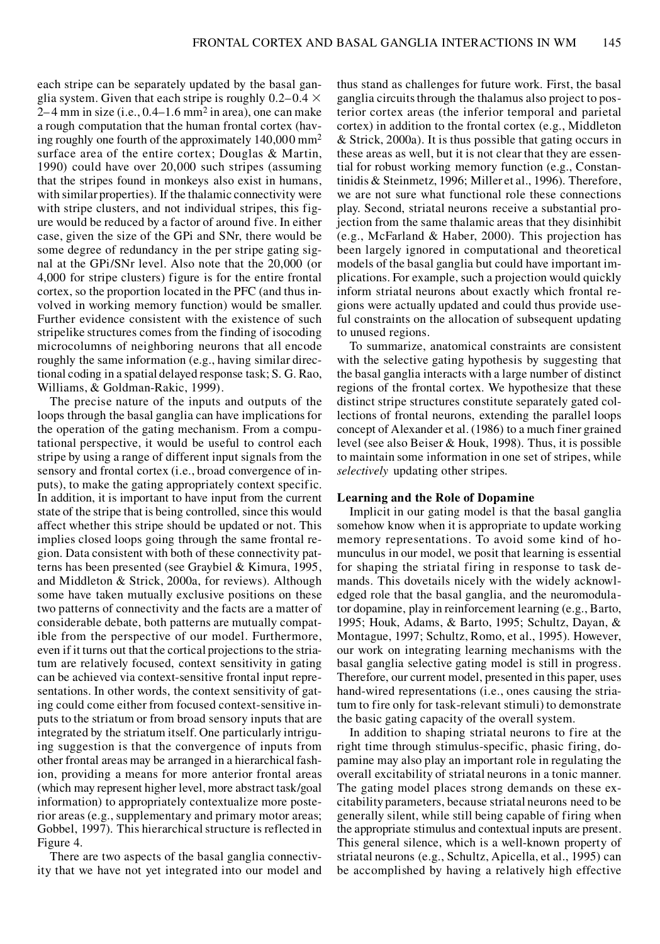each stripe can be separately updated by the basal gan glia system. Given that each stripe is roughly  $0.2-0.4 \times$  $2-4$  mm in size (i.e.,  $0.4-1.6$  mm<sup>2</sup> in area), one can make a rough computation that the human frontal cortex (having roughly one fourth of the approximately 140,000 mm<sup>2</sup> surface area of the entire cortex; Douglas & Martin, 1990) could have over 20,000 such stripes (assuming that the stripes found in monkeys also exist in humans, with similar properties). If the thalamic connectivity were with stripe clusters, and not individual stripes, this fig ure would be reduced by a factor of around five. In either case, given the size of the GPi and SNr, there would be some degree of redundancy in the per stripe gating sig nal at the GPi/SNr level. Also note that the 20,000 (or 4,000 for stripe clusters) figure is for the entire frontal cortex, so the proportion located in the PFC (and thus in volved in working memory function) would be smaller. Further evidence consistent with the existence of such stripelike structures comes from the finding of isocoding microcolumns of neighboring neurons that all encode roughly the same information (e.g., having similar directional coding in a spatial delayed response task; S. G. Rao, Williams, & Goldman-Rakic, 1999).

The precise nature of the inputs and outputs of the loops through the basal ganglia can have implications for the operation of the gating mechanism. From a computational perspective, it would be useful to control each stripe by using a range of different input signals from the sensory and frontal cortex (i.e., broad convergence of in puts), to make the gating appropriately context specific. In addition, it is important to have input from the current state of the stripe that is being controlled, since this would affect whether this stripe should be updated or not. This implies closed loops going through the same frontal re gion. Data consistent with both of these connectivity patterns has been presented (see Graybiel & Kimura, 1995, and Middleton & Strick, 2000a, for reviews). Although some have taken mutually exclusive positions on these two patterns of connectivity and the facts are a matter of considerable debate, both patterns are mutually compatible from the perspective of our model. Furthermore, even if it turns out that the cortical projections to the striatum are relatively focused, context sensitivity in gating can be achieved via context-sensitive frontal input repre sentations. In other words, the context sensitivity of gating could come either from focused context-sensitive in puts to the striatum or from broad sensory inputs that are integrated by the striatum itself. One particularly intriguing suggestion is that the convergence of inputs from other frontal areas may be arranged in a hierarchical fashion, providing a means for more anterior frontal areas (which may represent higher level, more abstract task/goal information) to appropriately contextualize more posterior areas (e.g., supplementary and primary motor areas; Gobbel, 1997). This hierarchical structure is reflected in Figure 4.

There are two aspects of the basal ganglia connectivity that we have not yet integrated into our model and

thus stand as challenges for future work. First, the basal ganglia circuits through the thalamus also project to posterior cortex areas (the inferior temporal and parietal cortex) in addition to the frontal cortex (e.g., Middleton & Strick, 2000a). It is thus possible that gating occurs in these areas as well, but it is not clear that they are essential for robust working memory function (e.g., Constantinidis & Steinmetz, 1996; Miller et al., 1996). Therefore, we are not sure what functional role these connections play. Second, striatal neurons receive a substantial projection from the same thalamic areas that they disinhibit (e.g., McFarland & Haber, 2000). This projection has been largely ignored in computational and theoretical models of the basal ganglia but could have important im plications. For example, such a projection would quickly inform striatal neurons about exactly which frontal re gions were actually updated and could thus provide useful constraints on the allocation of subsequent updating to unused regions.

To summarize, anatomical constraints are consistent with the selective gating hypothesis by suggesting that the basal ganglia interacts with a large number of distinct regions of the frontal cortex. We hypothesize that these distinct stripe structures constitute separately gated collections of frontal neurons, extending the parallel loops concept of Alexander et al. (1986) to a much finer grained level (see also Beiser & Houk, 1998). Thus, it is possible to maintain some information in one set of stripes, while *selectively* updating other stripes.

#### **Learning and the Role of Dopamine**

Implicit in our gating model is that the basal ganglia somehow know when it is appropriate to update working memory representations. To avoid some kind of ho munculus in our model, we posit that learning is essential for shaping the striatal firing in response to task de mands. This dovetails nicely with the widely acknowl edged role that the basal ganglia, and the neuromodulator dopamine, play in reinforcement learning (e.g., Barto, 1995; Houk, Adams, & Barto, 1995; Schultz, Dayan, & Montague, 1997; Schultz, Romo, et al., 1995). However, our work on integrating learning mechanisms with the basal ganglia selective gating model is still in progress. Therefore, our current model, presented in this paper, uses hand-wired representations (i.e., ones causing the striatum to fire only for task-relevant stimuli) to demonstrate the basic gating capacity of the overall system.

In addition to shaping striatal neurons to fire at the right time through stimulus-specific, phasic firing, do pamine may also play an important role in regulating the overall excitability of striatal neurons in a tonic manner. The gating model places strong demands on these ex citability parameters, because striatal neurons need to be generally silent, while still being capable of firing when the appropriate stimulus and contextual inputs are present. This general silence, which is a well-known property of striatal neurons (e.g., Schultz, Apicella, et al., 1995) can be accomplished by having a relatively high effective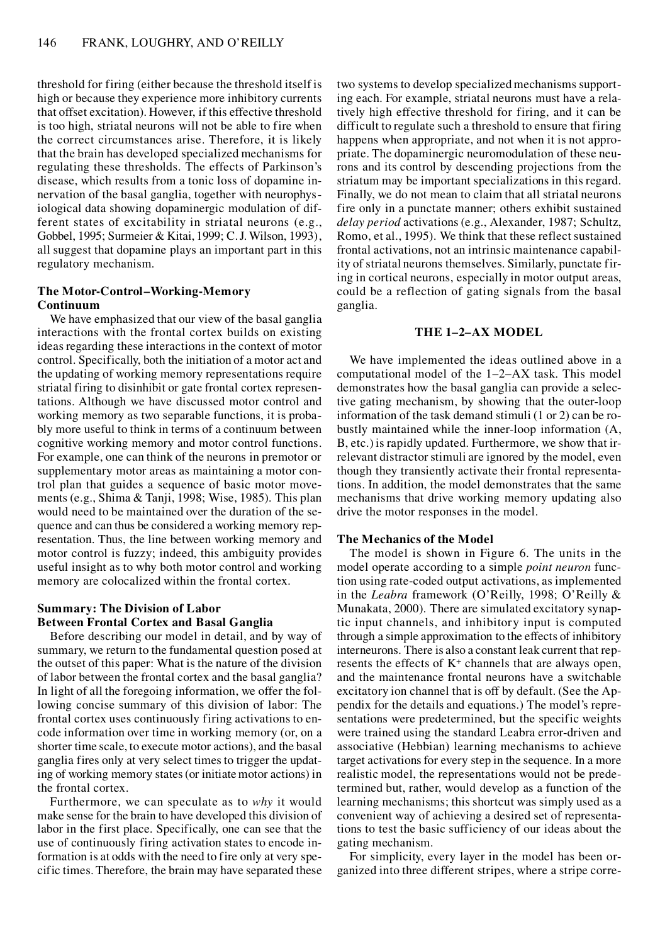threshold for firing (either because the threshold itself is high or because they experience more inhibitory currents that offset excitation). However, if this effective threshold is too high, striatal neurons will not be able to fire when the correct circumstances arise. Therefore, it is likely that the brain has developed specialized mechanisms for regulating these thresholds. The effects of Parkinson's disease, which results from a tonic loss of dopamine in nervation of the basal ganglia, together with neurophysiological data showing dopaminergic modulation of different states of excitability in striatal neurons (e.g., Gobbel, 1995; Surmeier & Kitai, 1999; C.J. Wilson, 1993), all suggest that dopamine plays an important part in this regulatory mechanism.

## **The Motor-Control–Working-Memory Continuum**

We have emphasized that our view of the basal ganglia interactions with the frontal cortex builds on existing ideas regarding these interactions in the context of motor control. Specifically, both the initiation of a motor act and the updating of working memory representations require striatal firing to disinhibit or gate frontal cortex representations. Although we have discussed motor control and working memory as two separable functions, it is proba bly more useful to think in terms of a continuum between cognitive working memory and motor control functions. For example, one can think of the neurons in premotor or supplementary motor areas as maintaining a motor control plan that guides a sequence of basic motor move ments (e.g., Shima & Tanji, 1998; Wise, 1985). This plan would need to be maintained over the duration of the se quence and can thus be considered a working memory representation. Thus, the line between working memory and motor control is fuzzy; indeed, this ambiguity provides useful insight as to why both motor control and working memory are colocalized within the frontal cortex.

# **Summary: The Division of Labor Between Frontal Cortex and Basal Ganglia**

Before describing our model in detail, and by way of summary, we return to the fundamental question posed at the outset of this paper: What is the nature of the division of labor between the frontal cortex and the basal ganglia? In light of all the foregoing information, we offer the following concise summary of this division of labor: The frontal cortex uses continuously firing activations to en code information over time in working memory (or, on a shorter time scale, to execute motor actions), and the basal ganglia fires only at very select times to trigger the updating of working memory states (or initiate motor actions) in the frontal cortex.

Furthermore, we can speculate as to *why* it would make sense for the brain to have developed this division of labor in the first place. Specifically, one can see that the use of continuously firing activation states to encode information is at odds with the need to fire only at very spe cific times. Therefore, the brain may have separated these

two systems to develop specialized mechanisms supporting each. For example, striatal neurons must have a relatively high effective threshold for firing, and it can be difficult to regulate such a threshold to ensure that firing happens when appropriate, and not when it is not appro priate. The dopaminergic neuromodulation of these neurons and its control by descending projections from the striatum may be important specializations in this regard. Finally, we do not mean to claim that all striatal neurons fire only in a punctate manner; others exhibit sustained *delay period* activations (e.g., Alexander, 1987; Schultz, Romo, et al., 1995). We think that these reflect sustained frontal activations, not an intrinsic maintenance capability of striatal neurons themselves. Similarly, punctate firing in cortical neurons, especially in motor output areas, could be a reflection of gating signals from the basal ganglia.

## **THE 1–2–AX MODEL**

We have implemented the ideas outlined above in a computational model of the 1–2–AX task. This model demonstrates how the basal ganglia can provide a selective gating mechanism, by showing that the outer-loop information of the task demand stimuli (1 or 2) can be ro bustly maintained while the inner-loop information (A, B, etc.) is rapidly updated. Furthermore, we show that irrelevant distractor stimuli are ignored by the model, even though they transiently activate their frontal representations. In addition, the model demonstrates that the same mechanisms that drive working memory updating also drive the motor responses in the model.

## **The Mechanics of the Model**

The model is shown in Figure 6. The units in the model operate according to a simple *point neuron* function using rate-coded output activations, as implemented in the *Leabra* framework (O'Reilly, 1998; O'Reilly & Munakata, 2000). There are simulated excitatory synaptic input channels, and inhibitory input is computed through a simple approximation to the effects of inhibitory interneurons. There is also a constant leak current that represents the effects of K+ channels that are always open, and the maintenance frontal neurons have a switchable excitatory ion channel that is off by default. (See the Ap pendix for the details and equations.) The model's repre sentations were predetermined, but the specific weights were trained using the standard Leabra error-driven and associative (Hebbian) learning mechanisms to achieve target activations for every step in the sequence. In a more realistic model, the representations would not be predetermined but, rather, would develop as a function of the learning mechanisms; this shortcut was simply used as a convenient way of achieving a desired set of representations to test the basic sufficiency of our ideas about the gating mechanism.

For simplicity, every layer in the model has been or ganized into three different stripes, where a stripe corre-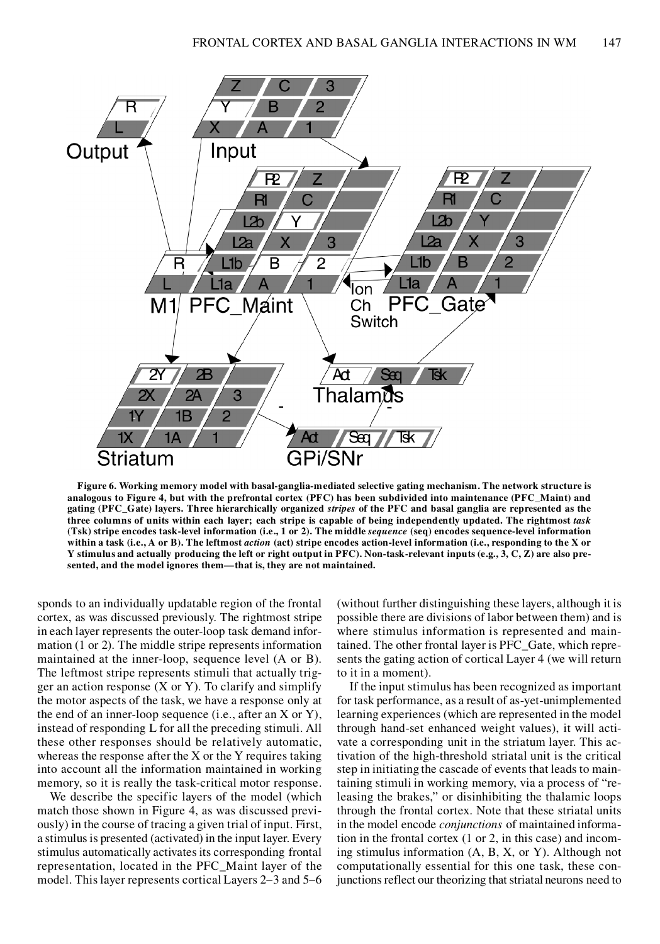

**Figure 6. Working memory model with basal-ganglia-mediated selective gating mechanism. The network structure is analogous to Figure 4, but with the prefrontal cortex (PFC) has been subdivided into maintenance (PFC\_Maint) and gating (PFC\_Gate) layers. Three hierarchically organized** *stripes* **of the PFC and basal ganglia are represented as the** three columns of units within each layer; each stripe is capable of being independently updated. The rightmost task **(Tsk) stripe encodes task-level information (i.e., 1 or 2). The middle** *sequence* **(seq) encodes sequence-level information within a task (i.e., A or B). The leftmost** *action* **(act) stripe encodes action-level information (i.e., responding to the X or Y stimulus and actually producing the left or right output in PFC). Non-task-relevant inputs (e.g., 3, C, Z) are also pre sented, and the model ignores them—that is, they are not maintained.**

sponds to an individually updatable region of the frontal cortex, as was discussed previously. The rightmost stripe in each layer represents the outer-loop task demand infor mation (1 or 2). The middle stripe represents information maintained at the inner-loop, sequence level (A or B). The leftmost stripe represents stimuli that actually trig ger an action response  $(X \text{ or } Y)$ . To clarify and simplify the motor aspects of the task, we have a response only at the end of an inner-loop sequence (i.e., after an X or Y), instead of responding L for all the preceding stimuli. All these other responses should be relatively automatic, whereas the response after the X or the Y requires taking into account all the information maintained in working memory, so it is really the task-critical motor response.

We describe the specific layers of the model (which match those shown in Figure 4, as was discussed previ ously) in the course of tracing a given trial of input. First, a stimulus is presented (activated) in the input layer. Every stimulus automatically activates its corresponding frontal representation, located in the PFC\_Maint layer of the model. This layer represents cortical Layers 2–3 and 5–6 (without further distinguishing these layers, although it is possible there are divisions of labor between them) and is where stimulus information is represented and maintained. The other frontal layer is PFC\_Gate, which repre sents the gating action of cortical Layer 4 (we will return to it in a moment).

If the input stimulus has been recognized as important for task performance, as a result of as-yet-unimplemented learning experiences (which are represented in the model through hand-set enhanced weight values), it will acti vate a corresponding unit in the striatum layer. This activation of the high-threshold striatal unit is the critical step in initiating the cascade of events that leads to maintaining stimuli in working memory, via a process of "releasing the brakes," or disinhibiting the thalamic loops through the frontal cortex. Note that these striatal units in the model encode *conjunctions* of maintained information in the frontal cortex (1 or 2, in this case) and incoming stimulus information (A, B, X, or Y). Although not computationally essential for this one task, these conjunctions reflect our theorizing that striatal neurons need to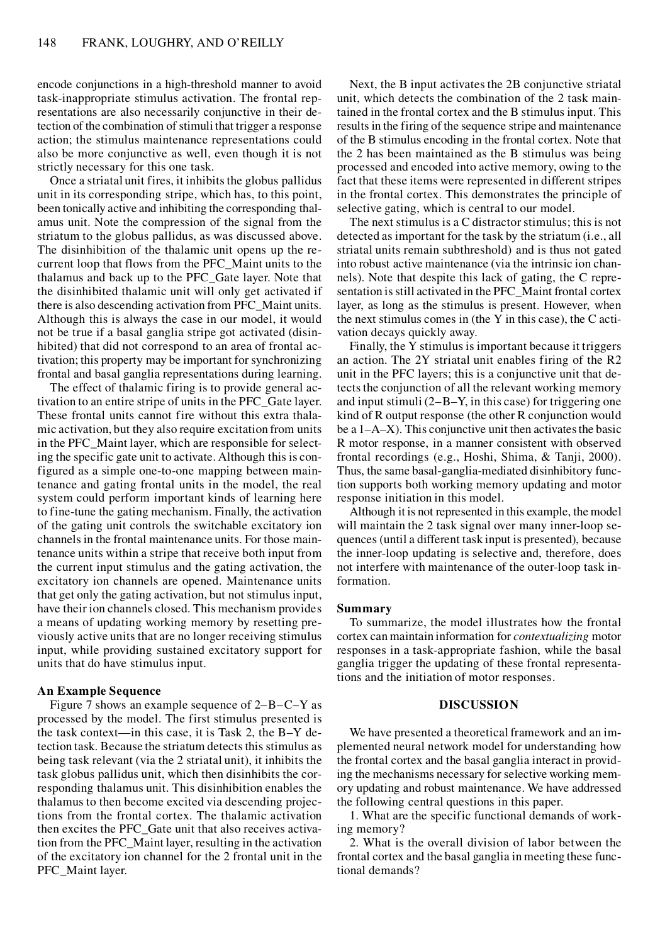encode conjunctions in a high-threshold manner to avoid task-inappropriate stimulus activation. The frontal representations are also necessarily conjunctive in their detection of the combination of stimuli that trigger a response action; the stimulus maintenance representations could also be more conjunctive as well, even though it is not strictly necessary for this one task.

Once a striatal unit fires, it inhibits the globus pallidus unit in its corresponding stripe, which has, to this point, been tonically active and inhibiting the corresponding thal amus unit. Note the compression of the signal from the striatum to the globus pallidus, as was discussed above. The disinhibition of the thalamic unit opens up the re current loop that flows from the PFC\_Maint units to the thalamus and back up to the PFC\_Gate layer. Note that the disinhibited thalamic unit will only get activated if there is also descending activation from PFC\_Maint units. Although this is always the case in our model, it would not be true if a basal ganglia stripe got activated (disin hibited) that did not correspond to an area of frontal activation; this property may be important for synchronizing frontal and basal ganglia representations during learning.

The effect of thalamic firing is to provide general activation to an entire stripe of units in the PFC\_Gate layer. These frontal units cannot fire without this extra thala mic activation, but they also require excitation from units in the PFC\_Maint layer, which are responsible for selecting the specific gate unit to activate. Although this is configured as a simple one-to-one mapping between maintenance and gating frontal units in the model, the real system could perform important kinds of learning here to fine-tune the gating mechanism. Finally, the activation of the gating unit controls the switchable excitatory ion channels in the frontal maintenance units. For those maintenance units within a stripe that receive both input from the current input stimulus and the gating activation, the excitatory ion channels are opened. Maintenance units that get only the gating activation, but not stimulus input, have their ion channels closed. This mechanism provides a means of updating working memory by resetting pre viously active units that are no longer receiving stimulus input, while providing sustained excitatory support for units that do have stimulus input.

#### **An Example Sequence**

Figure 7 shows an example sequence of 2–B–C–Y as processed by the model. The first stimulus presented is the task context—in this case, it is Task 2, the B–Y detection task. Because the striatum detects this stimulus as being task relevant (via the 2 striatal unit), it inhibits the task globus pallidus unit, which then disinhibits the corresponding thalamus unit. This disinhibition enables the thalamus to then become excited via descending projections from the frontal cortex. The thalamic activation then excites the PFC\_Gate unit that also receives activation from the PFC\_Maint layer, resulting in the activation of the excitatory ion channel for the 2 frontal unit in the PFC\_Maint layer.

Next, the B input activates the 2B conjunctive striatal unit, which detects the combination of the 2 task maintained in the frontal cortex and the B stimulus input. This results in the firing of the sequence stripe and maintenance of the B stimulus encoding in the frontal cortex. Note that the 2 has been maintained as the B stimulus was being processed and encoded into active memory, owing to the fact that these items were represented in different stripes in the frontal cortex. This demonstrates the principle of selective gating, which is central to our model.

The next stimulus is a C distractor stimulus; this is not detected as important for the task by the striatum (i.e., all striatal units remain subthreshold) and is thus not gated into robust active maintenance (via the intrinsic ion chan nels). Note that despite this lack of gating, the C repre sentation is still activated in the PFC\_Maint frontal cortex layer, as long as the stimulus is present. However, when the next stimulus comes in (the Y in this case), the C acti vation decays quickly away.

Finally, the Y stimulus is important because it triggers an action. The 2Y striatal unit enables firing of the R2 unit in the PFC layers; this is a conjunctive unit that detects the conjunction of all the relevant working memory and input stimuli (2–B–Y, in this case) for triggering one kind of R output response (the other R conjunction would be a 1–A–X). This conjunctive unit then activates the basic R motor response, in a manner consistent with observed frontal recordings (e.g., Hoshi, Shima, & Tanji, 2000). Thus, the same basal-ganglia-mediated disinhibitory function supports both working memory updating and motor response initiation in this model.

Although it is not represented in this example, the model will maintain the 2 task signal over many inner-loop se quences (until a different task input is presented), because the inner-loop updating is selective and, therefore, does not interfere with maintenance of the outer-loop task information.

#### **Summary**

To summarize, the model illustrates how the frontal cortex can maintain information for *contextualizing* motor responses in a task-appropriate fashion, while the basal ganglia trigger the updating of these frontal representations and the initiation of motor responses.

## **DISCUSSION**

We have presented a theoretical framework and an im plemented neural network model for understanding how the frontal cortex and the basal ganglia interact in providing the mechanisms necessary for selective working mem ory updating and robust maintenance. We have addressed the following central questions in this paper.

1. What are the specific functional demands of working memory?

2. What is the overall division of labor between the frontal cortex and the basal ganglia in meeting these functional demands?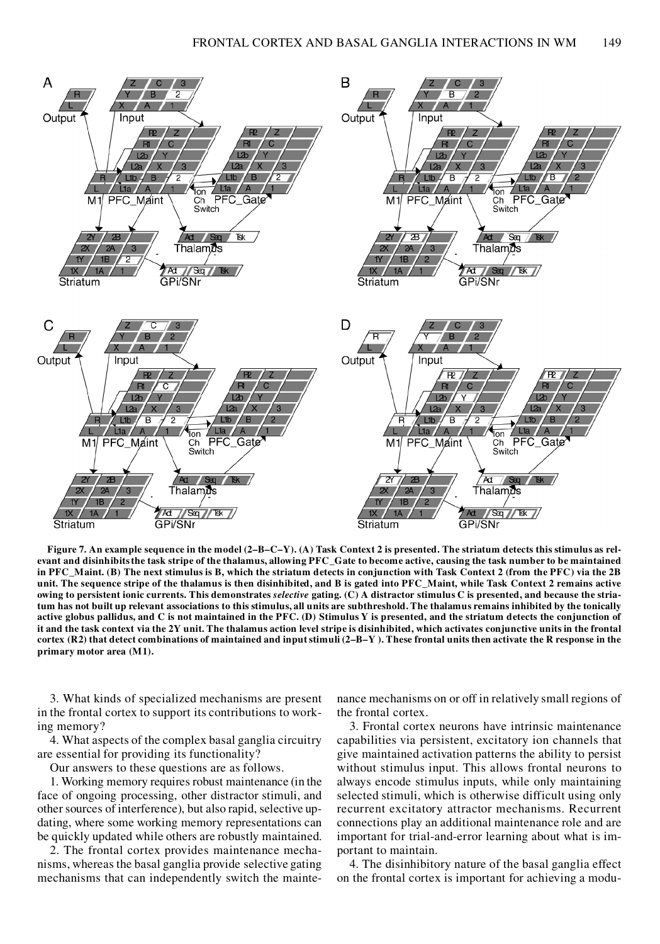

**Figure 7. An example sequence in the model (2–B–C–Y). (A) Task Context 2 is presented. The striatum detects this stimulus as rel evant and disinhibits the task stripe of the thalamus, allowing PFC\_Gate to become active, causing the task number to be maintained in PFC\_Maint. (B) The next stimulus is B, which the striatum detects in conjunction with Task Context 2 (from the PFC) via the 2B unit. The sequence stripe of the thalamus is then disinhibited, and B is gated into PFC\_Maint, while Task Context 2 remains active owing to persistent ionic currents. This demonstrates** *selective* **gating. (C) A distractor stimulus C is presented, and because the striatum has not built up relevant associations to this stimulus, all units are subthreshold. The thalamus remains inhibited by the tonically active globus pallidus, and C is not maintained in the PFC. (D) Stimulus Y is presented, and the striatum detects the conjunction of it and the task context via the 2Y unit. The thalamus action level stripe is disinhibited, which activates conjunctive units in the frontal cortex (R2) that detect combinations of maintained and input stimuli (2–B–Y ). These frontal units then activate the R response in the primary motor area (M1).**

3. What kinds of specialized mechanisms are present in the frontal cortex to support its contributions to working memory?

4. What aspects of the complex basal ganglia circuitry are essential for providing its functionality?

Our answers to these questions are as follows.

1. Working memory requires robust maintenance (in the face of ongoing processing, other distractor stimuli, and other sources of interference), but also rapid, selective up dating, where some working memory representations can be quickly updated while others are robustly maintained.

2. The frontal cortex provides maintenance mecha nisms, whereas the basal ganglia provide selective gating mechanisms that can independently switch the maintenance mechanisms on or off in relatively small regions of the frontal cortex.

3. Frontal cortex neurons have intrinsic maintenance capabilities via persistent, excitatory ion channels that give maintained activation patterns the ability to persist without stimulus input. This allows frontal neurons to always encode stimulus inputs, while only maintaining selected stimuli, which is otherwise difficult using only recurrent excitatory attractor mechanisms. Recurrent connections play an additional maintenance role and are important for trial-and-error learning about what is im portant to maintain.

4. The disinhibitory nature of the basal ganglia effect on the frontal cortex is important for achieving a modu-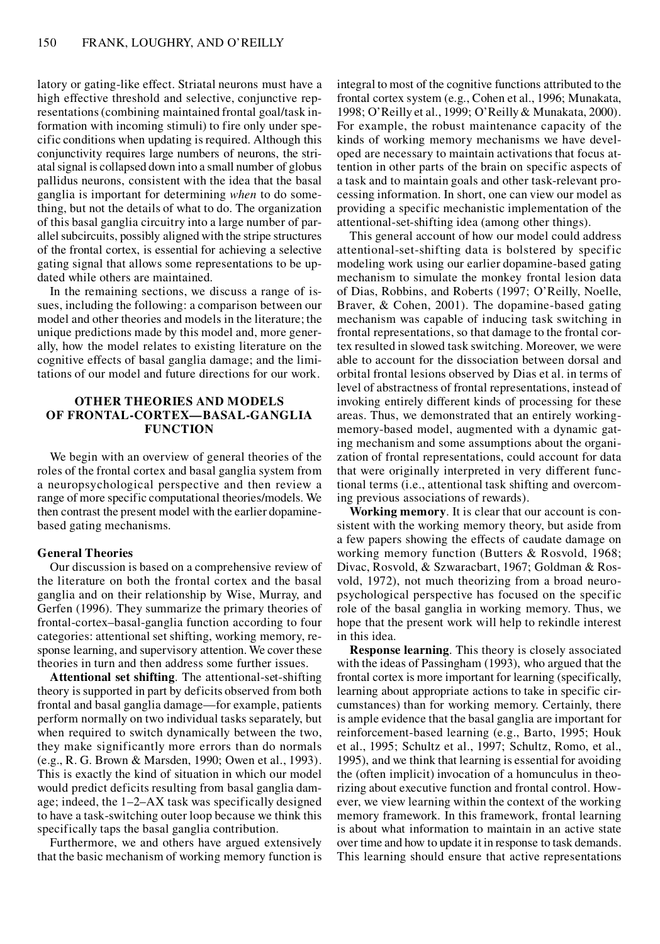latory or gating-like effect. Striatal neurons must have a high effective threshold and selective, conjunctive representations (combining maintained frontal goal/task information with incoming stimuli) to fire only under spe cific conditions when updating is required. Although this conjunctivity requires large numbers of neurons, the stri atal signal is collapsed down into a small number of globus pallidus neurons, consistent with the idea that the basal ganglia is important for determining *when* to do something, but not the details of what to do. The organization of this basal ganglia circuitry into a large number of par allel subcircuits, possibly aligned with the stripe structures of the frontal cortex, is essential for achieving a selective gating signal that allows some representations to be up dated while others are maintained.

In the remaining sections, we discuss a range of is sues, including the following: a comparison between our model and other theories and models in the literature; the unique predictions made by this model and, more gener ally, how the model relates to existing literature on the cognitive effects of basal ganglia damage; and the limitations of our model and future directions for our work.

## **OTHER THEORIES AND MODELS OF FRONTAL-CORTEX—BASAL-GANGLIA FUNCTION**

We begin with an overview of general theories of the roles of the frontal cortex and basal ganglia system from a neuropsychological perspective and then review a range of more specific computational theories/models. We then contrast the present model with the earlier dopamine based gating mechanisms.

## **General Theories**

Our discussion is based on a comprehensive review of the literature on both the frontal cortex and the basal ganglia and on their relationship by Wise, Murray, and Gerfen (1996). They summarize the primary theories of frontal-cortex–basal-ganglia function according to four categories: attentional set shifting, working memory, re sponse learning, and supervisory attention. We cover these theories in turn and then address some further issues.

**Attentional set shifting**. The attentional-set-shifting theory is supported in part by deficits observed from both frontal and basal ganglia damage—for example, patients perform normally on two individual tasks separately, but when required to switch dynamically between the two, they make significantly more errors than do normals (e.g., R. G. Brown & Marsden, 1990; Owen et al., 1993). This is exactly the kind of situation in which our model would predict deficits resulting from basal ganglia dam age; indeed, the 1–2–AX task was specifically designed to have a task-switching outer loop because we think this specifically taps the basal ganglia contribution.

Furthermore, we and others have argued extensively that the basic mechanism of working memory function is integral to most of the cognitive functions attributed to the frontal cortex system (e.g., Cohen et al., 1996; Munakata, 1998; O'Reilly et al., 1999; O'Reilly & Munakata, 2000). For example, the robust maintenance capacity of the kinds of working memory mechanisms we have devel oped are necessary to maintain activations that focus attention in other parts of the brain on specific aspects of a task and to maintain goals and other task-relevant pro cessing information. In short, one can view our model as providing a specific mechanistic implementation of the attentional-set-shifting idea (among other things).

This general account of how our model could address attentional-set-shifting data is bolstered by specific modeling work using our earlier dopamine-based gating mechanism to simulate the monkey frontal lesion data of Dias, Robbins, and Roberts (1997; O'Reilly, Noelle, Braver, & Cohen, 2001). The dopamine-based gating mechanism was capable of inducing task switching in frontal representations, so that damage to the frontal cortex resulted in slowed task switching. Moreover, we were able to account for the dissociation between dorsal and orbital frontal lesions observed by Dias et al. in terms of level of abstractness of frontal representations, instead of invoking entirely different kinds of processing for these areas. Thus, we demonstrated that an entirely working memory-based model, augmented with a dynamic gating mechanism and some assumptions about the organi zation of frontal representations, could account for data that were originally interpreted in very different functional terms (i.e., attentional task shifting and overcoming previous associations of rewards).

**Working memory**. It is clear that our account is con sistent with the working memory theory, but aside from a few papers showing the effects of caudate damage on working memory function (Butters & Rosvold, 1968; Divac, Rosvold, & Szwaracbart, 1967; Goldman & Ros vold, 1972), not much theorizing from a broad neuro psychological perspective has focused on the specific role of the basal ganglia in working memory. Thus, we hope that the present work will help to rekindle interest in this idea.

**Response learning**. This theory is closely associated with the ideas of Passingham (1993), who argued that the frontal cortex is more important for learning (specifically, learning about appropriate actions to take in specific cir cumstances) than for working memory. Certainly, there is ample evidence that the basal ganglia are important for reinforcement-based learning (e.g., Barto, 1995; Houk et al., 1995; Schultz et al., 1997; Schultz, Romo, et al., 1995), and we think that learning is essential for avoiding the (often implicit) invocation of a homunculus in theorizing about executive function and frontal control. How ever, we view learning within the context of the working memory framework. In this framework, frontal learning is about what information to maintain in an active state over time and how to update it in response to task demands. This learning should ensure that active representations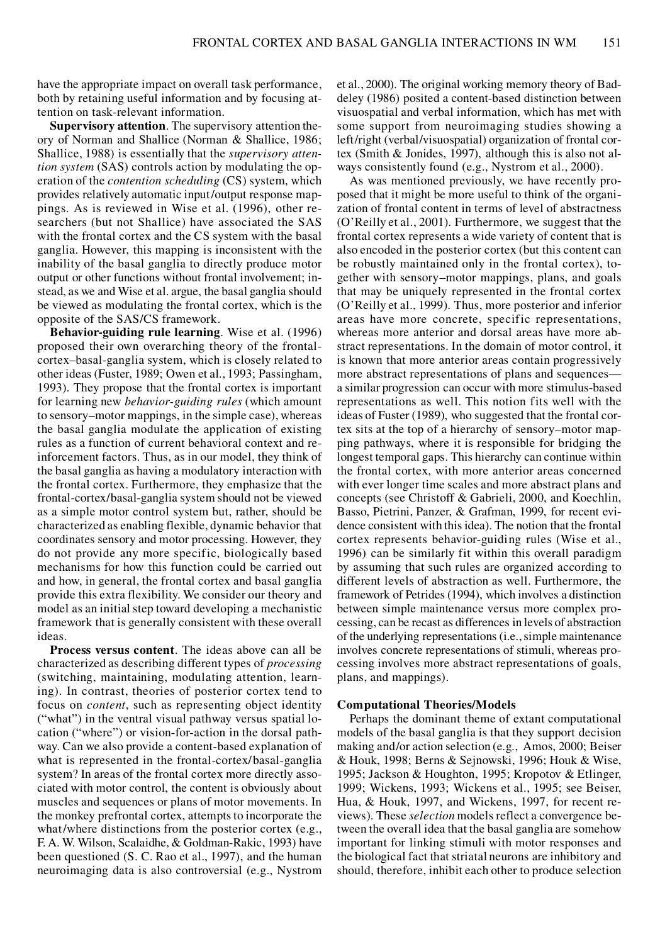have the appropriate impact on overall task performance, both by retaining useful information and by focusing attention on task-relevant information.

**Supervisory attention**. The supervisory attention the ory of Norman and Shallice (Norman & Shallice, 1986; Shallice, 1988) is essentially that the *supervisory attention system* (SAS) controls action by modulating the op eration of the *contention scheduling* (CS) system, which provides relatively automatic input/output response map pings. As is reviewed in Wise et al. (1996), other re searchers (but not Shallice) have associated the SAS with the frontal cortex and the CS system with the basal ganglia. However, this mapping is inconsistent with the inability of the basal ganglia to directly produce motor output or other functions without frontal involvement; in stead, as we and Wise et al. argue, the basal ganglia should be viewed as modulating the frontal cortex, which is the opposite of the SAS/CS framework.

**Behavior-guiding rule learning**. Wise et al. (1996) proposed their own overarching theory of the frontal cortex–basal-ganglia system, which is closely related to other ideas (Fuster, 1989; Owen et al., 1993; Passingham, 1993). They propose that the frontal cortex is important for learning new *behavior-guiding rules* (which amount to sensory–motor mappings, in the simple case), whereas the basal ganglia modulate the application of existing rules as a function of current behavioral context and reinforcement factors. Thus, as in our model, they think of the basal ganglia as having a modulatory interaction with the frontal cortex. Furthermore, they emphasize that the frontal-cortex/basal-ganglia system should not be viewed as a simple motor control system but, rather, should be characterized as enabling flexible, dynamic behavior that coordinates sensory and motor processing. However, they do not provide any more specific, biologically based mechanisms for how this function could be carried out and how, in general, the frontal cortex and basal ganglia provide this extra flexibility. We consider our theory and model as an initial step toward developing a mechanistic framework that is generally consistent with these overall ideas.

**Process versus content**. The ideas above can all be characterized as describing different types of *processing* (switching, maintaining, modulating attention, learning). In contrast, theories of posterior cortex tend to focus on *content*, such as representing object identity ("what") in the ventral visual pathway versus spatial lo cation ("where") or vision-for-action in the dorsal path way. Can we also provide a content-based explanation of what is represented in the frontal-cortex/basal-ganglia system? In areas of the frontal cortex more directly asso ciated with motor control, the content is obviously about muscles and sequences or plans of motor movements. In the monkey prefrontal cortex, attempts to incorporate the what/where distinctions from the posterior cortex (e.g., F. A. W. Wilson, Scalaidhe, & Goldman-Rakic, 1993) have been questioned (S. C. Rao et al., 1997), and the human neuroimaging data is also controversial (e.g., Nystrom

et al., 2000). The original working memory theory of Bad deley (1986) posited a content-based distinction between visuospatial and verbal information, which has met with some support from neuroimaging studies showing a left/right (verbal/visuospatial) organization of frontal cortex (Smith & Jonides, 1997), although this is also not al ways consistently found (e.g., Nystrom et al., 2000).

As was mentioned previously, we have recently pro posed that it might be more useful to think of the organi zation of frontal content in terms of level of abstractness (O'Reilly et al., 2001). Furthermore, we suggest that the frontal cortex represents a wide variety of content that is also encoded in the posterior cortex (but this content can be robustly maintained only in the frontal cortex), to gether with sensory–motor mappings, plans, and goals that may be uniquely represented in the frontal cortex (O'Reilly et al., 1999). Thus, more posterior and inferior areas have more concrete, specific representations, whereas more anterior and dorsal areas have more ab stract representations. In the domain of motor control, it is known that more anterior areas contain progressively more abstract representations of plans and sequences a similar progression can occur with more stimulus-based representations as well. This notion fits well with the ideas of Fuster (1989), who suggested that the frontal cortex sits at the top of a hierarchy of sensory–motor map ping pathways, where it is responsible for bridging the longest temporal gaps. This hierarchy can continue within the frontal cortex, with more anterior areas concerned with ever longer time scales and more abstract plans and concepts (see Christoff & Gabrieli, 2000, and Koechlin, Basso, Pietrini, Panzer, & Grafman, 1999, for recent evi dence consistent with this idea). The notion that the frontal cortex represents behavior-guiding rules (Wise et al., 1996) can be similarly fit within this overall paradigm by assuming that such rules are organized according to different levels of abstraction as well. Furthermore, the framework of Petrides (1994), which involves a distinction between simple maintenance versus more complex pro cessing, can be recast as differences in levels of abstraction of the underlying representations (i.e., simple maintenance involves concrete representations of stimuli, whereas pro cessing involves more abstract representations of goals, plans, and mappings).

#### **Computational Theories/Models**

Perhaps the dominant theme of extant computational models of the basal ganglia is that they support decision making and/or action selection (e.g., Amos, 2000; Beiser & Houk, 1998; Berns & Sejnowski, 1996; Houk & Wise, 1995; Jackson & Houghton, 1995; Kropotov & Etlinger, 1999; Wickens, 1993; Wickens et al., 1995; see Beiser, Hua, & Houk, 1997, and Wickens, 1997, for recent re views). These *selection* models reflect a convergence between the overall idea that the basal ganglia are somehow important for linking stimuli with motor responses and the biological fact that striatal neurons are inhibitory and should, therefore, inhibit each other to produce selection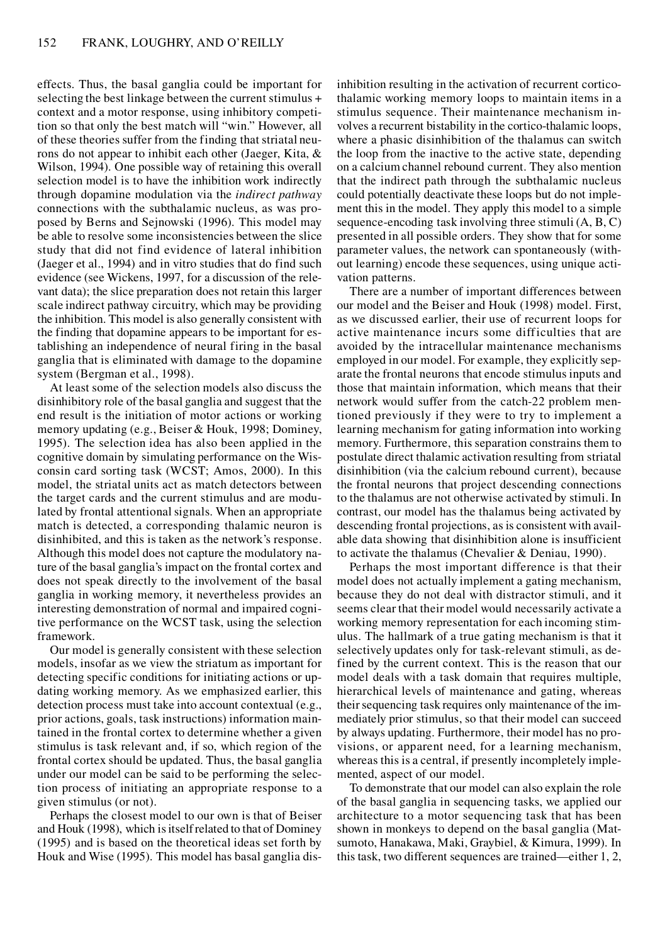effects. Thus, the basal ganglia could be important for selecting the best linkage between the current stimulus + context and a motor response, using inhibitory competition so that only the best match will "win." However, all of these theories suffer from the finding that striatal neurons do not appear to inhibit each other (Jaeger, Kita, & Wilson, 1994). One possible way of retaining this overall selection model is to have the inhibition work indirectly through dopamine modulation via the *indirect pathway* connections with the subthalamic nucleus, as was pro posed by Berns and Sejnowski (1996). This model may be able to resolve some inconsistencies between the slice study that did not find evidence of lateral inhibition (Jaeger et al., 1994) and in vitro studies that do find such evidence (see Wickens, 1997, for a discussion of the rele vant data); the slice preparation does not retain this larger scale indirect pathway circuitry, which may be providing the inhibition. This model is also generally consistent with the finding that dopamine appears to be important for establishing an independence of neural firing in the basal ganglia that is eliminated with damage to the dopamine system (Bergman et al., 1998).

At least some of the selection models also discuss the disinhibitory role of the basal ganglia and suggest that the end result is the initiation of motor actions or working memory updating (e.g., Beiser & Houk, 1998; Dominey, 1995). The selection idea has also been applied in the cognitive domain by simulating performance on the Wis consin card sorting task (WCST; Amos, 2000). In this model, the striatal units act as match detectors between the target cards and the current stimulus and are modulated by frontal attentional signals. When an appropriate match is detected, a corresponding thalamic neuron is disinhibited, and this is taken as the network's response. Although this model does not capture the modulatory nature of the basal ganglia's impact on the frontal cortex and does not speak directly to the involvement of the basal ganglia in working memory, it nevertheless provides an interesting demonstration of normal and impaired cognitive performance on the WCST task, using the selection framework.

Our model is generally consistent with these selection models, insofar as we view the striatum as important for detecting specific conditions for initiating actions or up dating working memory. As we emphasized earlier, this detection process must take into account contextual (e.g., prior actions, goals, task instructions) information maintained in the frontal cortex to determine whether a given stimulus is task relevant and, if so, which region of the frontal cortex should be updated. Thus, the basal ganglia under our model can be said to be performing the selection process of initiating an appropriate response to a given stimulus (or not).

Perhaps the closest model to our own is that of Beiser and Houk (1998), which is itself related to that of Dominey (1995) and is based on the theoretical ideas set forth by Houk and Wise (1995). This model has basal ganglia disinhibition resulting in the activation of recurrent corticothalamic working memory loops to maintain items in a stimulus sequence. Their maintenance mechanism in volves a recurrent bistability in the cortico-thalamic loops, where a phasic disinhibition of the thalamus can switch the loop from the inactive to the active state, depending on a calcium channel rebound current. They also mention that the indirect path through the subthalamic nucleus could potentially deactivate these loops but do not imple ment this in the model. They apply this model to a simple sequence-encoding task involving three stimuli (A, B, C) presented in all possible orders. They show that for some parameter values, the network can spontaneously (with out learning) encode these sequences, using unique acti vation patterns.

There are a number of important differences between our model and the Beiser and Houk (1998) model. First, as we discussed earlier, their use of recurrent loops for active maintenance incurs some difficulties that are avoided by the intracellular maintenance mechanisms employed in our model. For example, they explicitly sep arate the frontal neurons that encode stimulus inputs and those that maintain information, which means that their network would suffer from the catch-22 problem mentioned previously if they were to try to implement a learning mechanism for gating information into working memory. Furthermore, this separation constrains them to postulate direct thalamic activation resulting from striatal disinhibition (via the calcium rebound current), because the frontal neurons that project descending connections to the thalamus are not otherwise activated by stimuli. In contrast, our model has the thalamus being activated by descending frontal projections, as is consistent with avail able data showing that disinhibition alone is insufficient to activate the thalamus (Chevalier & Deniau, 1990).

Perhaps the most important difference is that their model does not actually implement a gating mechanism, because they do not deal with distractor stimuli, and it seems clear that their model would necessarily activate a working memory representation for each incoming stim ulus. The hallmark of a true gating mechanism is that it selectively updates only for task-relevant stimuli, as defined by the current context. This is the reason that our model deals with a task domain that requires multiple, hierarchical levels of maintenance and gating, whereas their sequencing task requires only maintenance of the im mediately prior stimulus, so that their model can succeed by always updating. Furthermore, their model has no pro visions, or apparent need, for a learning mechanism, whereas this is a central, if presently incompletely imple mented, aspect of our model.

To demonstrate that our model can also explain the role of the basal ganglia in sequencing tasks, we applied our architecture to a motor sequencing task that has been shown in monkeys to depend on the basal ganglia (Mat sumoto, Hanakawa, Maki, Graybiel, & Kimura, 1999). In this task, two different sequences are trained—either 1, 2,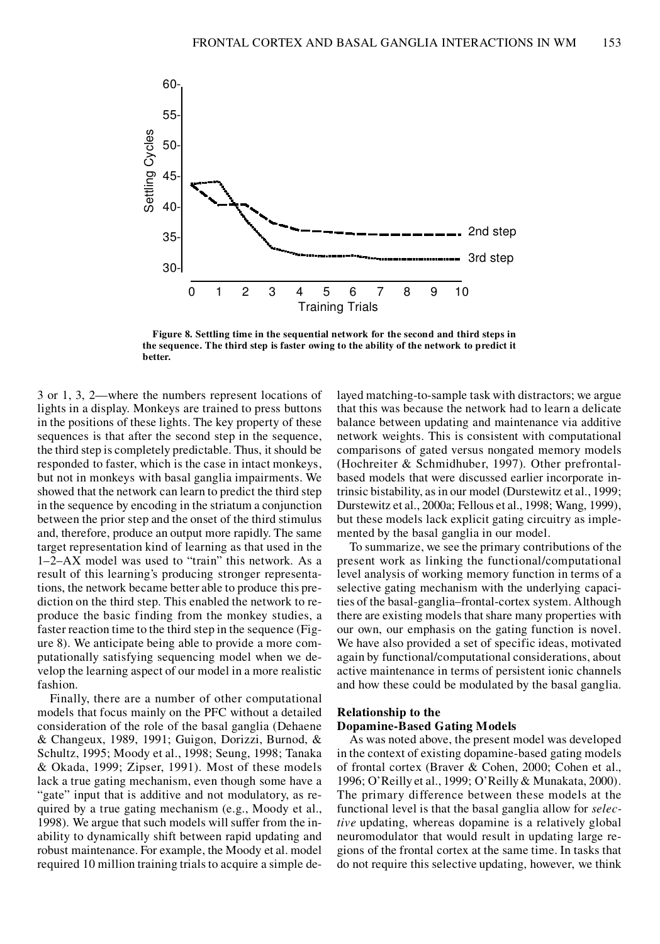

**Figure 8. Settling time in the sequential network for the second and third steps in the sequence. The third step is faster owing to the ability of the network to predict it better.**

3 or 1, 3, 2—where the numbers represent locations of lights in a display. Monkeys are trained to press buttons in the positions of these lights. The key property of these sequences is that after the second step in the sequence, the third step is completely predictable. Thus, it should be responded to faster, which is the case in intact monkeys, but not in monkeys with basal ganglia impairments. We showed that the network can learn to predict the third step in the sequence by encoding in the striatum a conjunction between the prior step and the onset of the third stimulus and, therefore, produce an output more rapidly. The same target representation kind of learning as that used in the 1–2–AX model was used to "train" this network. As a result of this learning's producing stronger representations, the network became better able to produce this pre diction on the third step. This enabled the network to re produce the basic finding from the monkey studies, a faster reaction time to the third step in the sequence (Fig ure 8). We anticipate being able to provide a more com putationally satisfying sequencing model when we de velop the learning aspect of our model in a more realistic fashion.

Finally, there are a number of other computational models that focus mainly on the PFC without a detailed consideration of the role of the basal ganglia (Dehaene & Changeux, 1989, 1991; Guigon, Dorizzi, Burnod, & Schultz, 1995; Moody et al., 1998; Seung, 1998; Tanaka & Okada, 1999; Zipser, 1991). Most of these models lack a true gating mechanism, even though some have a "gate" input that is additive and not modulatory, as re quired by a true gating mechanism (e.g., Moody et al., 1998). We argue that such models will suffer from the in ability to dynamically shift between rapid updating and robust maintenance. For example, the Moody et al. model required 10 million training trials to acquire a simple delayed matching-to-sample task with distractors; we argue that this was because the network had to learn a delicate balance between updating and maintenance via additive network weights. This is consistent with computational comparisons of gated versus nongated memory models (Hochreiter & Schmidhuber, 1997). Other prefrontal based models that were discussed earlier incorporate intrinsic bistability, as in our model (Durstewitz et al., 1999; Durstewitz et al., 2000a; Fellous et al., 1998; Wang, 1999), but these models lack explicit gating circuitry as imple mented by the basal ganglia in our model.

To summarize, we see the primary contributions of the present work as linking the functional/computational level analysis of working memory function in terms of a selective gating mechanism with the underlying capacities of the basal-ganglia–frontal-cortex system. Although there are existing models that share many properties with our own, our emphasis on the gating function is novel. We have also provided a set of specific ideas, motivated again by functional/computational considerations, about active maintenance in terms of persistent ionic channels and how these could be modulated by the basal ganglia.

## **Relationship to the Dopamine-Based Gating Models**

As was noted above, the present model was developed in the context of existing dopamine-based gating models of frontal cortex (Braver & Cohen, 2000; Cohen et al., 1996; O'Reilly et al., 1999; O'Reilly & Munakata, 2000). The primary difference between these models at the functional level is that the basal ganglia allow for *selective* updating, whereas dopamine is a relatively global neuromodulator that would result in updating large re gions of the frontal cortex at the same time. In tasks that do not require this selective updating, however, we think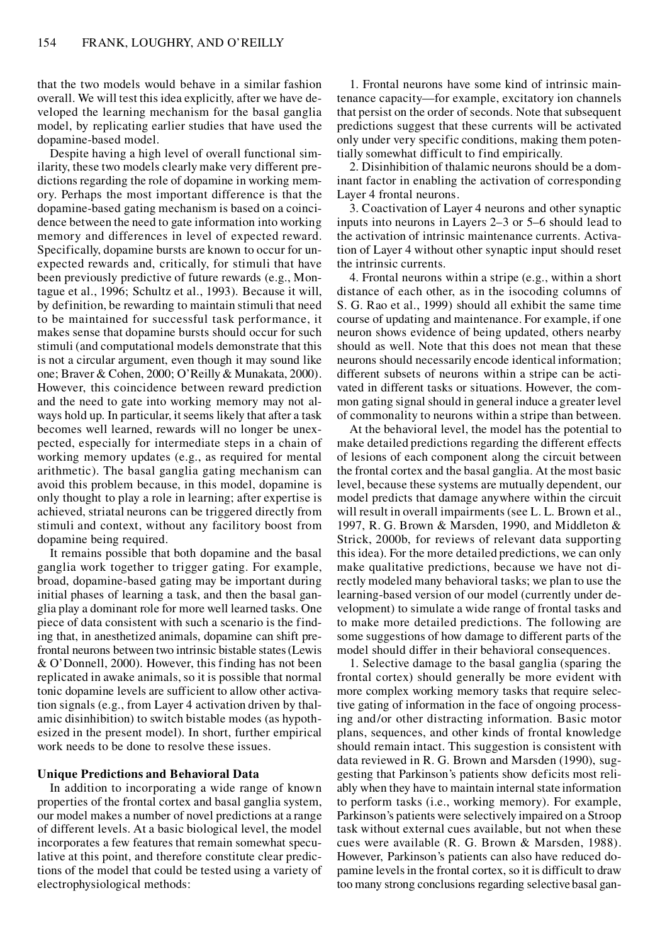that the two models would behave in a similar fashion overall. We will test this idea explicitly, after we have de veloped the learning mechanism for the basal ganglia model, by replicating earlier studies that have used the dopamine-based model.

Despite having a high level of overall functional similarity, these two models clearly make very different pre dictions regarding the role of dopamine in working mem ory. Perhaps the most important difference is that the dopamine-based gating mechanism is based on a coinci dence between the need to gate information into working memory and differences in level of expected reward. Specifically, dopamine bursts are known to occur for un expected rewards and, critically, for stimuli that have been previously predictive of future rewards (e.g., Montague et al., 1996; Schultz et al., 1993). Because it will, by definition, be rewarding to maintain stimuli that need to be maintained for successful task performance, it makes sense that dopamine bursts should occur for such stimuli (and computational models demonstrate that this is not a circular argument, even though it may sound like one; Braver & Cohen, 2000; O'Reilly & Munakata, 2000). However, this coincidence between reward prediction and the need to gate into working memory may not al ways hold up. In particular, it seems likely that after a task becomes well learned, rewards will no longer be unex pected, especially for intermediate steps in a chain of working memory updates (e.g., as required for mental arithmetic). The basal ganglia gating mechanism can avoid this problem because, in this model, dopamine is only thought to play a role in learning; after expertise is achieved, striatal neurons can be triggered directly from stimuli and context, without any facilitory boost from dopamine being required.

It remains possible that both dopamine and the basal ganglia work together to trigger gating. For example, broad, dopamine-based gating may be important during initial phases of learning a task, and then the basal gan glia play a dominant role for more well learned tasks. One piece of data consistent with such a scenario is the finding that, in anesthetized animals, dopamine can shift prefrontal neurons between two intrinsic bistable states (Lewis & O'Donnell, 2000). However, this finding has not been replicated in awake animals, so it is possible that normal tonic dopamine levels are sufficient to allow other activation signals (e.g., from Layer 4 activation driven by thal amic disinhibition) to switch bistable modes (as hypoth esized in the present model). In short, further empirical work needs to be done to resolve these issues.

## **Unique Predictions and Behavioral Data**

In addition to incorporating a wide range of known properties of the frontal cortex and basal ganglia system, our model makes a number of novel predictions at a range of different levels. At a basic biological level, the model incorporates a few features that remain somewhat speculative at this point, and therefore constitute clear predictions of the model that could be tested using a variety of electrophysiological methods:

1. Frontal neurons have some kind of intrinsic maintenance capacity—for example, excitatory ion channels that persist on the order of seconds. Note that subsequent predictions suggest that these currents will be activated only under very specific conditions, making them potentially somewhat difficult to find empirically.

2. Disinhibition of thalamic neurons should be a dominant factor in enabling the activation of corresponding Layer 4 frontal neurons.

3. Coactivation of Layer 4 neurons and other synaptic inputs into neurons in Layers 2–3 or 5–6 should lead to the activation of intrinsic maintenance currents. Activation of Layer 4 without other synaptic input should reset the intrinsic currents.

4. Frontal neurons within a stripe (e.g., within a short distance of each other, as in the isocoding columns of S. G. Rao et al., 1999) should all exhibit the same time course of updating and maintenance. For example, if one neuron shows evidence of being updated, others nearby should as well. Note that this does not mean that these neurons should necessarily encode identical information; different subsets of neurons within a stripe can be acti vated in different tasks or situations. However, the com mon gating signal should in general induce a greater level of commonality to neurons within a stripe than between.

At the behavioral level, the model has the potential to make detailed predictions regarding the different effects of lesions of each component along the circuit between the frontal cortex and the basal ganglia. At the most basic level, because these systems are mutually dependent, our model predicts that damage anywhere within the circuit will result in overall impairments (see L. L. Brown et al., 1997, R. G. Brown & Marsden, 1990, and Middleton & Strick, 2000b, for reviews of relevant data supporting this idea). For the more detailed predictions, we can only make qualitative predictions, because we have not directly modeled many behavioral tasks; we plan to use the learning-based version of our model (currently under de velopment) to simulate a wide range of frontal tasks and to make more detailed predictions. The following are some suggestions of how damage to different parts of the model should differ in their behavioral consequences.

1. Selective damage to the basal ganglia (sparing the frontal cortex) should generally be more evident with more complex working memory tasks that require selective gating of information in the face of ongoing processing and/or other distracting information. Basic motor plans, sequences, and other kinds of frontal knowledge should remain intact. This suggestion is consistent with data reviewed in R. G. Brown and Marsden (1990), sug gesting that Parkinson's patients show deficits most reli ably when they have to maintain internal state information to perform tasks (i.e., working memory). For example, Parkinson's patients were selectively impaired on a Stroop task without external cues available, but not when these cues were available (R. G. Brown & Marsden, 1988). However, Parkinson's patients can also have reduced do pamine levels in the frontal cortex, so it is difficult to draw too many strong conclusions regarding selective basal gan-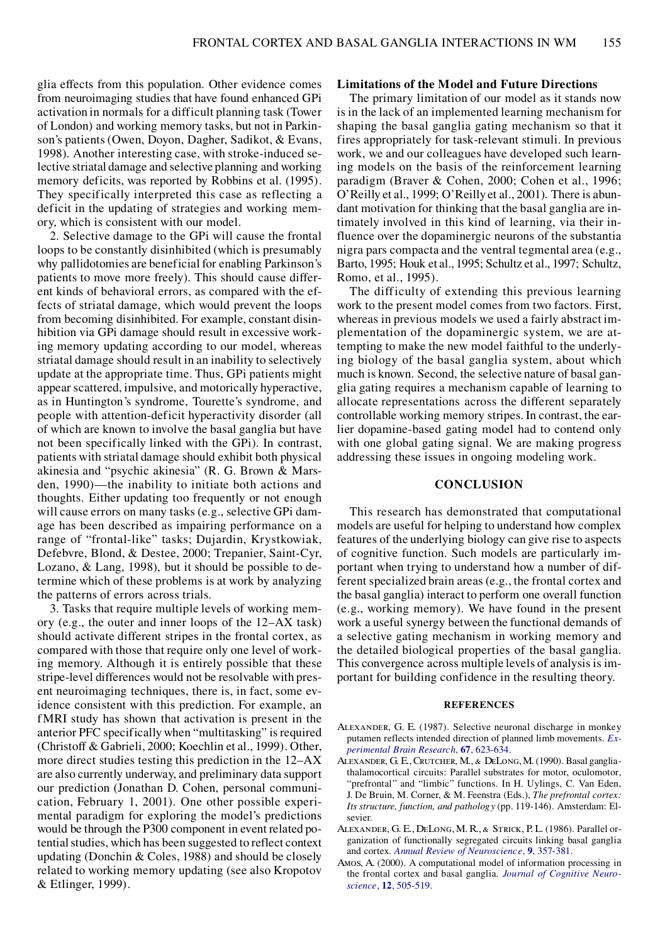glia effects from this population. Other evidence comes from neuroimaging studies that have found enhanced GPi activation in normals for a difficult planning task (Tower of London) and working memory tasks, but not in Parkin son's patients (Owen, Doyon, Dagher, Sadikot, & Evans, 1998). Another interesting case, with stroke-induced selective striatal damage and selective planning and working memory deficits, was reported by Robbins et al. (1995). They specifically interpreted this case as reflecting a deficit in the updating of strategies and working mem ory, which is consistent with our model.

2. Selective damage to the GPi will cause the frontal loops to be constantly disinhibited (which is presumably why pallidotomies are beneficial for enabling Parkinson's patients to move more freely). This should cause differ ent kinds of behavioral errors, as compared with the effects of striatal damage, which would prevent the loops from becoming disinhibited. For example, constant disin hibition via GPi damage should result in excessive working memory updating according to our model, whereas striatal damage should result in an inability to selectively update at the appropriate time. Thus, GPi patients might appear scattered, impulsive, and motorically hyperactive, as in Huntington's syndrome, Tourette's syndrome, and people with attention-deficit hyperactivity disorder (all of which are known to involve the basal ganglia but have not been specifically linked with the GPi). In contrast, patients with striatal damage should exhibit both physical akinesia and "psychic akinesia" (R. G. Brown & Mars den, 1990)—the inability to initiate both actions and thoughts. Either updating too frequently or not enough will cause errors on many tasks (e.g., selective GPi dam age has been described as impairing performance on a range of "frontal-like" tasks; Dujardin, Krystkowiak, Defebvre, Blond, & Destee, 2000; Trepanier, Saint-Cyr, Lozano, & Lang, 1998), but it should be possible to determine which of these problems is at work by analyzing the patterns of errors across trials.

3. Tasks that require multiple levels of working mem ory (e.g., the outer and inner loops of the 12–AX task) should activate different stripes in the frontal cortex, as compared with those that require only one level of working memory. Although it is entirely possible that these stripe-level differences would not be resolvable with pres ent neuroimaging techniques, there is, in fact, some evidence consistent with this prediction. For example, an fMRI study has shown that activation is present in the anterior PFC specifically when "multitasking" is required (Christoff & Gabrieli, 2000; Koechlin et al., 1999). Other, more direct studies testing this prediction in the 12–AX are also currently underway, and preliminary data support our prediction (Jonathan D. Cohen, personal communi cation, February 1, 2001). One other possible experi mental paradigm for exploring the model's predictions would be through the P300 component in event related potential studies, which has been suggested to reflect context updating (Donchin & Coles, 1988) and should be closely related to working memory updating (see also Kropotov & Etlinger, 1999).

#### **Limitations of the Model and Future Directions**

The primary limitation of our model as it stands now is in the lack of an implemented learning mechanism for shaping the basal ganglia gating mechanism so that it fires appropriately for task-relevant stimuli. In previous work, we and our colleagues have developed such learning models on the basis of the reinforcement learning paradigm (Braver & Cohen, 2000; Cohen et al., 1996; O'Reilly et al., 1999; O'Reilly et al., 2001). There is abun dant motivation for thinking that the basal ganglia are intimately involved in this kind of learning, via their influence over the dopaminergic neurons of the substantia nigra pars compacta and the ventral tegmental area (e.g., Barto, 1995; Houk et al., 1995; Schultz et al., 1997; Schultz, Romo, et al., 1995).

The difficulty of extending this previous learning work to the present model comes from two factors. First, whereas in previous models we used a fairly abstract im plementation of the dopaminergic system, we are attempting to make the new model faithful to the underlying biology of the basal ganglia system, about which much is known. Second, the selective nature of basal gan glia gating requires a mechanism capable of learning to allocate representations across the different separately controllable working memory stripes. In contrast, the earlier dopamine-based gating model had to contend only with one global gating signal. We are making progress addressing these issues in ongoing modeling work.

#### **CONCLUSION**

This research has demonstrated that computational models are useful for helping to understand how complex features of the underlying biology can give rise to aspects of cognitive function. Such models are particularly im portant when trying to understand how a number of different specialized brain areas (e.g., the frontal cortex and the basal ganglia) interact to perform one overall function (e.g., working memory). We have found in the present work a useful synergy between the functional demands of a selective gating mechanism in working memory and the detailed biological properties of the basal ganglia. This convergence across multiple levels of analysis is im portant for building confidence in the resulting theory.

#### **REFERENCES**

- ALEXANDER, G. E. (1987). Selective neuronal discharge in monkey putamen reflects intended direction of planned limb movements. *[Ex](http://lindoro.catchword.com/nw=1/rpsv/cgi-bin/linker?ext=a&reqidx=/0014-4819^28^2967L.623[aid=1532813])[perimental Brain Research](http://lindoro.catchword.com/nw=1/rpsv/cgi-bin/linker?ext=a&reqidx=/0014-4819^28^2967L.623[aid=1532813])*, **67**, 623-634.
- Alexander, G. E., Crutcher, M., & DeLong, M. (1990). Basal gangliathalamocortical circuits: Parallel substrates for motor, oculomotor, "prefrontal" and "limbic" functions. In H. Uylings, C. Van Eden, J. De Bruin, M. Corner, & M. Feenstra (Eds.), *The prefrontal cortex: Its structure, function, and pathology* (pp. 119-146). Amsterdam: El sevier.
- Alexander, G. E., DeLong, M. R., & Strick, P. L. (1986). Parallel or ganization of functionally segregated circuits linking basal ganglia and cortex. *[Annual Review of Neuroscience](http://lindoro.catchword.com/nw=1/rpsv/cgi-bin/linker?ext=a&reqidx=/0147-006X^28^299L.357[aid=123407])*, **9**, 357-381.
- Amos, A. (2000). A computational model of information processing in the frontal cortex and basal ganglia. *[Journal of Cognitive Neuro](http://lindoro.catchword.com/nw=1/rpsv/cgi-bin/linker?ext=a&reqidx=/0898-929X^28^2912L.505[aid=1532814]) science*, **12**[, 505-519.](http://lindoro.catchword.com/nw=1/rpsv/cgi-bin/linker?ext=a&reqidx=/0898-929X^28^2912L.505[aid=1532814])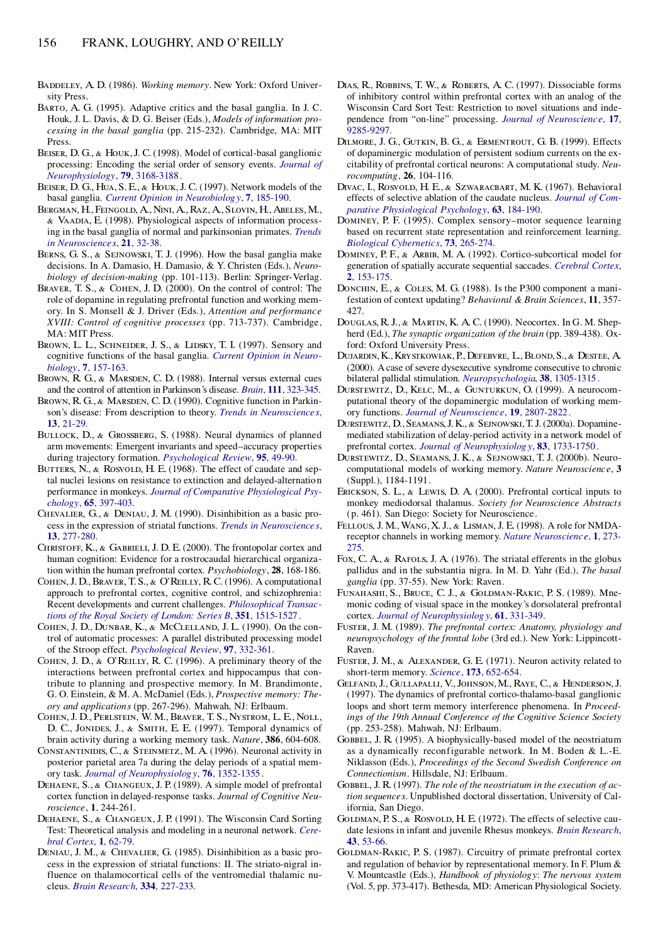BADDELEY, A. D. (1986). *Working memory*. New York: Oxford University Press.

- Barto, A. G. (1995). Adaptive critics and the basal ganglia. In J. C. Houk, J. L. Davis, & D. G. Beiser (Eds.), *Models of information pro cessing in the basal ganglia* (pp. 215-232). Cambridge, MA: MIT Press.
- BEISER, D. G., & HOUK, J. C. (1998). Model of cortical-basal ganglionic processing: Encoding the serial order of sensory events. *[Journal of](http://lindoro.catchword.com/nw=1/rpsv/cgi-bin/linker?ext=a&reqidx=/0022-3077^28^2979L.3168[aid=1532815]) [Neurophysiology](http://lindoro.catchword.com/nw=1/rpsv/cgi-bin/linker?ext=a&reqidx=/0022-3077^28^2979L.3168[aid=1532815])*, **79**, 3168-3188.
- Beiser, D. G., Hua, S. E., & Houk, J. C. (1997). Network models of the basal ganglia. *[Current Opinion in Neurobiolog](http://lindoro.catchword.com/nw=1/rpsv/cgi-bin/linker?ext=a&reqidx=/0959-4388^28^297L.185[aid=1532816]) y*, **7**, 185-190.
- Bergman, H., Feingold, A., Nini, A., Raz, A., Slovin, H., Abeles, M., & Vaadia, E. (1998). Physiological aspects of information processing in the basal ganglia of normal and parkinsonian primates. *[Trends](http://lindoro.catchword.com/nw=1/rpsv/cgi-bin/linker?ext=a&reqidx=/0166-2236^28^2921L.32[aid=1532817]) [in Neurosciences](http://lindoro.catchword.com/nw=1/rpsv/cgi-bin/linker?ext=a&reqidx=/0166-2236^28^2921L.32[aid=1532817])*, **21**, 32-38.
- BERNS, G. S., & SEJNOWSKI, T. J. (1996). How the basal ganglia make decisions. In A. Damasio, H. Damasio, & Y. Christen (Eds.), *Neurobiology of decision-making* (pp. 101-113). Berlin: Springer-Verlag.
- Braver, T. S., & Cohen, J. D. (2000). On the control of control: The role of dopamine in regulating prefrontal function and working mem ory. In S. Monsell & J. Driver (Eds.), *Attention and performance XVIII: Control of cognitive processes* (pp. 713-737). Cambridge, MA: MIT Press.
- BROWN, L. L., SCHNEIDER, J. S., & LIDSKY, T. I. (1997). Sensory and cognitive functions of the basal ganglia. *[Current Opinion in Neuro](http://lindoro.catchword.com/nw=1/rpsv/cgi-bin/linker?ext=a&reqidx=/0959-4388^28^297L.157[aid=847807]) biology*, **7**[, 157-163.](http://lindoro.catchword.com/nw=1/rpsv/cgi-bin/linker?ext=a&reqidx=/0959-4388^28^297L.157[aid=847807])
- Brown, R. G., & MARSDEN, C. D. (1988). Internal versus external cues and the control of attention in Parkinson's disease. *Brain*, **111**[, 323-345.](http://lindoro.catchword.com/nw=1/rpsv/cgi-bin/linker?ext=a&reqidx=/0006-8950^28^29111L.323[aid=296423])
- Brown, R. G., & MARSDEN, C. D. (1990). Cognitive function in Parkinson's disease: From description to theory. *[Trends in Neurosciences](http://lindoro.catchword.com/nw=1/rpsv/cgi-bin/linker?ext=a&reqidx=/0166-2236^28^2913L.21[aid=316087])*, **13**[, 21-29.](http://lindoro.catchword.com/nw=1/rpsv/cgi-bin/linker?ext=a&reqidx=/0166-2236^28^2913L.21[aid=316087])
- BULLOCK, D., & GROSSBERG, S. (1988). Neural dynamics of planned arm movements: Emergent invariants and speed–accuracy properties during trajectory formation. *[Psychological Review](http://lindoro.catchword.com/nw=1/rpsv/cgi-bin/linker?ext=a&reqidx=/0033-295X^28^2995L.49[aid=216568])*, **95**, 49-90.
- BUTTERS, N., & ROSVOLD, H. E. (1968). The effect of caudate and septal nuclei lesions on resistance to extinction and delayed-alternation performance in monkeys. *[Journal of Comparative Physiological Psy](http://lindoro.catchword.com/nw=1/rpsv/cgi-bin/linker?ext=a&reqidx=/0021-9940^28^2965L.397[aid=1532818]) chology*, **65**[, 397-403.](http://lindoro.catchword.com/nw=1/rpsv/cgi-bin/linker?ext=a&reqidx=/0021-9940^28^2965L.397[aid=1532818])
- Chevalier, G., & Deniau, J. M. (1990). Disinhibition as a basic pro cess in the expression of striatal functions. *[Trends in Neurosciences](http://lindoro.catchword.com/nw=1/rpsv/cgi-bin/linker?ext=a&reqidx=/0166-2236^28^2913L.277[aid=1532819])*, **13**[, 277-280.](http://lindoro.catchword.com/nw=1/rpsv/cgi-bin/linker?ext=a&reqidx=/0166-2236^28^2913L.277[aid=1532819])
- CHRISTOFF, K., & GABRIELI, J. D. E. (2000). The frontopolar cortex and human cognition: Evidence for a rostrocaudal hierarchical organization within the human prefrontal cortex. *Psychobiology*, **28**, 168-186.
- COHEN, J. D., BRAVER, T. S., & O'REILLY, R. C. (1996). A computational approach to prefrontal cortex, cognitive control, and schizophrenia: Recent developments and current challenges. *[Philosophical Transac](http://lindoro.catchword.com/nw=1/rpsv/cgi-bin/linker?ext=a&reqidx=/0962-8436^28^29351L.1515[aid=847849])[tions of the Royal Society of London: Series](http://lindoro.catchword.com/nw=1/rpsv/cgi-bin/linker?ext=a&reqidx=/0962-8436^28^29351L.1515[aid=847849]) B*, **351**, 1515-1527 .
- Cohen, J. D., Dunbar, K., & McClelland, J. L. (1990). On the control of automatic processes: A parallel distributed processing model of the Stroop effect. *[Psychological Review](http://lindoro.catchword.com/nw=1/rpsv/cgi-bin/linker?ext=a&reqidx=/0033-295X^28^2997L.332[aid=294036])*, **97**, 332-361.
- COHEN, J. D., & O'REILLY, R. C. (1996). A preliminary theory of the interactions between prefrontal cortex and hippocampus that contribute to planning and prospective memory. In M. Brandimonte, G. O. Einstein, & M. A. McDaniel (Eds.), *Prospective memory: The ory and applications* (pp. 267-296). Mahwah, NJ: Erlbaum.
- Cohen, J. D., Perlstein, W. M., Braver, T. S., Nystrom, L. E., Noll, D. C., JONIDES, J., & SMITH, E. E. (1997). Temporal dynamics of brain activity during a working memory task. *Nature*, **386**, 604-608.
- Constantinidis, C., & Steinmetz, M. A. (1996). Neuronal activity in posterior parietal area 7a during the delay periods of a spatial mem ory task. *[Journal of Neurophysiolog](http://lindoro.catchword.com/nw=1/rpsv/cgi-bin/linker?ext=a&reqidx=/0022-3077^28^2976L.1352[aid=880534]) y*, **76**, 1352-1355.
- Dehaene, S., & Changeux, J. P. (1989). A simple model of prefrontal cortex function in delayed-response tasks. *Journal of Cognitive Neu roscience*, **1**, 244-261.
- Dehaene, S., & Changeux, J. P. (1991). The Wisconsin Card Sorting Test: Theoretical analysis and modeling in a neuronal network. *[Cere](http://lindoro.catchword.com/nw=1/rpsv/cgi-bin/linker?ext=a&reqidx=/1047-3211^28^291L.62[aid=125721])[bral Cortex](http://lindoro.catchword.com/nw=1/rpsv/cgi-bin/linker?ext=a&reqidx=/1047-3211^28^291L.62[aid=125721])*, **1**, 62-79.
- Deniau, J. M., & Chevalier, G. (1985). Disinhibition as a basic pro cess in the expression of striatal functions: II. The striato-nigral influence on thalamocortical cells of the ventromedial thalamic nu cleus. *[Brain Research](http://lindoro.catchword.com/nw=1/rpsv/cgi-bin/linker?ext=a&reqidx=/0006-8993^28^29334L.227[aid=1532821])*, **334**, 227-233.
- Dias, R., Robbins, T. W., & Roberts, A. C. (1997). Dissociable forms of inhibitory control within prefrontal cortex with an analog of the Wisconsin Card Sort Test: Restriction to novel situations and inde pendence from "on-line" processing. *[Journal of Neuroscience](http://lindoro.catchword.com/nw=1/rpsv/cgi-bin/linker?ext=a&reqidx=/0270-6474^28^2917L.9285[aid=1532822])*, **17**, [9285-9297.](http://lindoro.catchword.com/nw=1/rpsv/cgi-bin/linker?ext=a&reqidx=/0270-6474^28^2917L.9285[aid=1532822])
- Dilmore, J. G., Gutkin, B. G., & Ermentrout, G. B. (1999). Effects of dopaminergic modulation of persistent sodium currents on the ex citability of prefrontal cortical neurons: A computational study. *Neurocomputing*, **26**, 104-116.
- DIVAC, I., ROSVOLD, H. E., & SZWARACBART, M. K. (1967). Behavioral effects of selective ablation of the caudate nucleus. *[Journal of Com](http://lindoro.catchword.com/nw=1/rpsv/cgi-bin/linker?ext=a&reqidx=/0021-9940^28^2963L.184[aid=1532824]) [parative Physiological Psychology](http://lindoro.catchword.com/nw=1/rpsv/cgi-bin/linker?ext=a&reqidx=/0021-9940^28^2963L.184[aid=1532824])*, **63**, 184-190.
- Dominey, P. F. (1995). Complex sensory–motor sequence learning based on recurrent state representation and reinforcement learning. *[Biological Cybernetics](http://lindoro.catchword.com/nw=1/rpsv/cgi-bin/linker?ext=a&reqidx=/0340-1200^28^2973L.265[aid=303735])*, **73**, 265-274.
- DOMINEY, P. F., & ARBIB, M. A. (1992). Cortico-subcortical model for generation of spatially accurate sequential saccades. *[Cerebral Cortex](http://lindoro.catchword.com/nw=1/rpsv/cgi-bin/linker?ext=a&reqidx=/1047-3211^28^292L.153[aid=959310])*, **2**[, 153-175.](http://lindoro.catchword.com/nw=1/rpsv/cgi-bin/linker?ext=a&reqidx=/1047-3211^28^292L.153[aid=959310])
- DONCHIN, E., & COLES, M. G. (1988). Is the P300 component a manifestation of context updating? *Behavioral & Brain Sciences*, **11**, 357- 427.
- Douglas, R. J., & Martin, K. A. C. (1990). Neocortex. In G. M. Shep herd (Ed.), *The synaptic organization of the brain* (pp. 389-438). Oxford: Oxford University Press.
- Dujardin, K., Krystkowiak, P., Defebvre, L., Blond, S., & Destee, A. (2000). A case of severe dysexecutive syndrome consecutive to chronic bilateral pallidal stimulation. *[Neuropsychologia](http://lindoro.catchword.com/nw=1/rpsv/cgi-bin/linker?ext=a&reqidx=/0028-3932^28^2938L.1305[aid=1532825])*, **38**, 1305-1315 .
- Durstewitz, D., Kelc, M., & Gunturkun, O. (1999). A neurocom putational theory of the dopaminergic modulation of working mem ory functions. *[Journal of Neuroscience](http://lindoro.catchword.com/nw=1/rpsv/cgi-bin/linker?ext=a&reqidx=/0270-6474^28^2919L.2807[aid=1532826])*, **19**, 2807-2822.
- Durstewitz, D., Seamans, J. K., & Sejnowski, T. J. (2000a). Dopamine mediated stabilization of delay-period activity in a network model of prefrontal cortex. *[Journal of Neurophysiolog](http://lindoro.catchword.com/nw=1/rpsv/cgi-bin/linker?ext=a&reqidx=/0022-3077^28^2983L.1733[aid=1532827]) y*, **83**, 1733-1750.
- Durstewitz, D., Seamans, J. K., & Sejnowski, T. J. (2000b). Neuro computational models of working memory. *Nature Neuroscience*, **3** (Suppl.), 1184-1191.
- Erickson, S. L., & Lewis, D. A. (2000). Prefrontal cortical inputs to monkey mediodorsal thalamus. *Society for Neuroscience Abstracts* (p. 461). San Diego: Society for Neuroscience.
- Fellous, J. M., Wang, X. J., & Lisman, J. E. (1998). A role for NMDAreceptor channels in working memory. *[Nature Neuroscience](http://lindoro.catchword.com/nw=1/rpsv/cgi-bin/linker?ext=a&reqidx=/1097-6256^28^291L.273[aid=1532828])*, **1**, 273- [275.](http://lindoro.catchword.com/nw=1/rpsv/cgi-bin/linker?ext=a&reqidx=/1097-6256^28^291L.273[aid=1532828])
- Fox, C. A., & RAFOLS, J. A. (1976). The striatal efferents in the globus pallidus and in the substantia nigra. In M. D. Yahr (Ed.), *The basal ganglia* (pp. 37-55). New York: Raven.
- Funahashi, S., Bruce, C. J., & Goldman-Rakic, P. S. (1989). Mne monic coding of visual space in the monkey's dorsolateral prefrontal cortex. *[Journal of Neurophysiolog](http://lindoro.catchword.com/nw=1/rpsv/cgi-bin/linker?ext=a&reqidx=/0022-3077^28^2961L.331[aid=213612]) y*, **61**, 331-349.
- Fuster, J. M. (1989). *The prefrontal cortex: Anatomy, physiology and neuropsychology of the frontal lobe* (3rd ed.)*.* New York: Lippincott- Raven.
- Fuster, J. M., & Alexander, G. E. (1971). Neuron activity related to short-term memory. *Science*, **173**[, 652-654.](http://lindoro.catchword.com/nw=1/rpsv/cgi-bin/linker?ext=a&reqidx=/0036-8075^28^29173L.652[aid=847835])
- Gelfand, J., Gullapalli, V., Johnson, M., Raye, C., & Henderson, J. (1997). The dynamics of prefrontal cortico-thalamo-basal ganglionic loops and short term memory interference phenomena. In *Proceedings of the 19th Annual Conference of the Cognitive Science Society* (pp. 253-258). Mahwah, NJ: Erlbaum.
- GOBBEL, J. R. (1995). A biophysically-based model of the neostriatum as a dynamically reconfigurable network. In M. Boden & L.-E. Niklasson (Eds.), *Proceedings of the Second Swedish Conference on Connectionism*. Hillsdale, NJ: Erlbaum.
- GOBBEL, J. R. (1997). The role of the neostriatum in the execution of ac*tion sequences*. Unpublished doctoral dissertation, University of California, San Diego.
- GOLDMAN, P. S., & ROSVOLD, H. E. (1972). The effects of selective caudate lesions in infant and juvenile Rhesus monkeys. *[Brain Research](http://lindoro.catchword.com/nw=1/rpsv/cgi-bin/linker?ext=a&reqidx=/0006-8993^28^2943L.53[aid=1532829])*, **43**[, 53-66.](http://lindoro.catchword.com/nw=1/rpsv/cgi-bin/linker?ext=a&reqidx=/0006-8993^28^2943L.53[aid=1532829])
- GOLDMAN-RAKIC, P. S. (1987). Circuitry of primate prefrontal cortex and regulation of behavior by representational memory. In F. Plum & V. Mountcastle (Eds.), *Handbook of physiology*: *The nervous system* (Vol. 5, pp. 373-417). Bethesda, MD: American Physiological Society.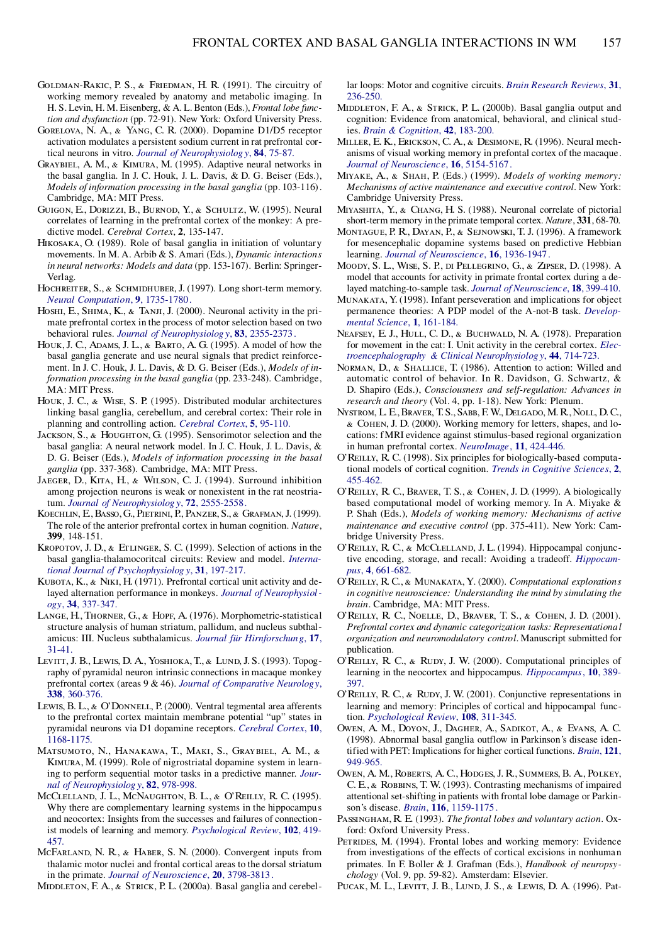- Goldman-Rakic, P. S., & Friedman, H. R. (1991). The circuitry of working memory revealed by anatomy and metabolic imaging. In H. S. Levin, H. M. Eisenberg, & A. L. Benton (Eds.), *Frontal lobe function and dysfunction* (pp. 72-91). New York: Oxford University Press.
- Gorelova, N. A., & Yang, C. R. (2000). Dopamine D1/D5 receptor activation modulates a persistent sodium current in rat prefrontal cortical neurons in vitro. *[Journal of Neurophysiolog](http://lindoro.catchword.com/nw=1/rpsv/cgi-bin/linker?ext=a&reqidx=/0022-3077^28^2984L.75[aid=1532830]) y*, **84**, 75-87.
- Graybiel, A. M., & Kimura, M. (1995). Adaptive neural networks in the basal ganglia. In J. C. Houk, J. L. Davis, & D. G. Beiser (Eds.), *Models of information processing in the basal ganglia* (pp. 103-116). Cambridge, MA: MIT Press.
- Guigon, E., Dorizzi, B., Burnod, Y., & Schultz, W. (1995). Neural correlates of learning in the prefrontal cortex of the monkey: A pre dictive model. *Cerebral Cortex*, **2**, 135-147.
- HIKOSAKA, O. (1989). Role of basal ganglia in initiation of voluntary movements. In M. A. Arbib & S. Amari (Eds.), *Dynamic interactions in neural networks: Models and data* (pp. 153-167). Berlin: Springer- Verlag.
- Hochreiter, S., & Schmidhuber, J. (1997). Long short-term memory. *[Neural Computation](http://lindoro.catchword.com/nw=1/rpsv/cgi-bin/linker?ext=a&reqidx=/0899-7667^28^299L.1735[aid=1532832])*, **9**, 1735-1780.
- HOSHI, E., SHIMA, K., & TANJI, J. (2000). Neuronal activity in the primate prefrontal cortex in the process of motor selection based on two behavioral rules. *[Journal of Neurophysiolog](http://lindoro.catchword.com/nw=1/rpsv/cgi-bin/linker?ext=a&reqidx=/0022-3077^28^2983L.2355[aid=1510155]) y*, **83**, 2355-2373.
- Houk, J. C., Adams, J. L., & Barto, A. G. (1995). A model of how the basal ganglia generate and use neural signals that predict reinforce ment. In J. C. Houk, J. L. Davis, & D. G. Beiser (Eds.), *Models of information processing in the basal ganglia* (pp. 233-248). Cambridge, MA: MIT Press.
- Houk, J. C., & Wise, S. P. (1995). Distributed modular architectures linking basal ganglia, cerebellum, and cerebral cortex: Their role in planning and controlling action. *[Cerebral Cortex](http://lindoro.catchword.com/nw=1/rpsv/cgi-bin/linker?ext=a&reqidx=/1047-3211^28^295L.95[aid=218848])*, **5**, 95-110.
- JACKSON, S., & HOUGHTON, G. (1995). Sensorimotor selection and the basal ganglia: A neural network model. In J. C. Houk, J. L. Davis, & D. G. Beiser (Eds.), *Models of information processing in the basal ganglia* (pp. 337-368). Cambridge, MA: MIT Press.
- Jaeger, D., Kita, H., & Wilson, C. J. (1994). Surround inhibition among projection neurons is weak or nonexistent in the rat neostriatum. *[Journal of Neurophysiolog](http://lindoro.catchword.com/nw=1/rpsv/cgi-bin/linker?ext=a&reqidx=/0022-3077^28^2972L.2555[aid=1532833]) y*, **72**, 2555-2558.
- Koechlin, E., Basso, G., Pietrini, P., Panzer, S., & Grafman, J. (1999). The role of the anterior prefrontal cortex in human cognition. *Nature*, **399**, 148-151.
- KROPOTOV, J. D., & ETLINGER, S. C. (1999). Selection of actions in the basal ganglia-thalamocoritcal circuits: Review and model. *[Interna](http://lindoro.catchword.com/nw=1/rpsv/cgi-bin/linker?ext=a&reqidx=/0167-8760^28^2931L.197[aid=1532835])[tional Journal of Psychophysiolog](http://lindoro.catchword.com/nw=1/rpsv/cgi-bin/linker?ext=a&reqidx=/0167-8760^28^2931L.197[aid=1532835]) y*, **31**, 197-217.
- KUBOTA, K., & NIKI, H. (1971). Prefrontal cortical unit activity and delayed alternation performance in monkeys. *[Journal of Neurophysiol](http://lindoro.catchword.com/nw=1/rpsv/cgi-bin/linker?ext=a&reqidx=/0022-3077^28^2934L.337[aid=1532836]) ogy*, **34**[, 337-347.](http://lindoro.catchword.com/nw=1/rpsv/cgi-bin/linker?ext=a&reqidx=/0022-3077^28^2934L.337[aid=1532836])
- Lange, H., Thorner, G., & Hopf, A. (1976). Morphometric-statistical structure analysis of human striatum, pallidum, and nucleus subthal amicus: III. Nucleus subthalamicus. *[Journal für Hirnforschung](http://lindoro.catchword.com/nw=1/rpsv/cgi-bin/linker?ext=a&reqidx=/0021-8359^28^2917L.31[aid=1532837])*, **17**, [31-41.](http://lindoro.catchword.com/nw=1/rpsv/cgi-bin/linker?ext=a&reqidx=/0021-8359^28^2917L.31[aid=1532837])
- Levitt, J. B., Lewis, D. A., Yoshioka, T., & Lund, J. S.(1993). Topography of pyramidal neuron intrinsic connections in macaque monkey prefrontal cortex (areas 9 & 46). *[Journal of Comparative Neurology](http://lindoro.catchword.com/nw=1/rpsv/cgi-bin/linker?ext=a&reqidx=/0021-9967^28^29338L.360[aid=1192814])*, **338**[, 360-376.](http://lindoro.catchword.com/nw=1/rpsv/cgi-bin/linker?ext=a&reqidx=/0021-9967^28^29338L.360[aid=1192814])
- Lewis, B. L., & O'Donnell, P. (2000). Ventral tegmental area afferents to the prefrontal cortex maintain membrane potential "up" states in pyramidal neurons via D1 dopamine receptors. *[Cerebral Cortex](http://lindoro.catchword.com/nw=1/rpsv/cgi-bin/linker?ext=a&reqidx=/1047-3211^28^2910L.1168[aid=1532838])*, **10**, [1168-1175.](http://lindoro.catchword.com/nw=1/rpsv/cgi-bin/linker?ext=a&reqidx=/1047-3211^28^2910L.1168[aid=1532838])
- Matsumoto, N., Hanakawa, T., Maki, S., Graybiel, A. M., & Kimura, M. (1999). Role of nigrostriatal dopamine system in learning to perform sequential motor tasks in a predictive manner. *[Jour](http://lindoro.catchword.com/nw=1/rpsv/cgi-bin/linker?ext=a&reqidx=/0022-3077^28^2982L.978[aid=1532839])[nal of Neurophysiolog](http://lindoro.catchword.com/nw=1/rpsv/cgi-bin/linker?ext=a&reqidx=/0022-3077^28^2982L.978[aid=1532839]) y*, **82**, 978-998.
- McClelland, J. L., McNaughton, B. L., & O'Reilly, R. C. (1995). Why there are complementary learning systems in the hippocampus and neocortex: Insights from the successes and failures of connectionist models of learning and memory. *[Psychological Review](http://lindoro.catchword.com/nw=1/rpsv/cgi-bin/linker?ext=a&reqidx=/0033-295X^28^29102L.419[aid=19110])*, **102**, 419- [457.](http://lindoro.catchword.com/nw=1/rpsv/cgi-bin/linker?ext=a&reqidx=/0033-295X^28^29102L.419[aid=19110])
- McFarland, N. R., & Haber, S. N. (2000). Convergent inputs from thalamic motor nuclei and frontal cortical areas to the dorsal striatum in the primate. *[Journal of Neuroscience](http://lindoro.catchword.com/nw=1/rpsv/cgi-bin/linker?ext=a&reqidx=/0270-6474^28^2920L.3798[aid=1532840])*, **20**, 3798-3813.

MIDDLETON, F. A., & STRICK, P. L. (2000a). Basal ganglia and cerebel-

lar loops: Motor and cognitive circuits. *[Brain Research Reviews](http://lindoro.catchword.com/nw=1/rpsv/cgi-bin/linker?ext=a&reqidx=/0165-0173^28^2931L.236[aid=1532841])*, **31**, [236-250.](http://lindoro.catchword.com/nw=1/rpsv/cgi-bin/linker?ext=a&reqidx=/0165-0173^28^2931L.236[aid=1532841])

- MIDDLETON, F. A., & STRICK, P. L. (2000b). Basal ganglia output and cognition: Evidence from anatomical, behavioral, and clinical studies. *[Brain & Cognition](http://lindoro.catchword.com/nw=1/rpsv/cgi-bin/linker?ext=a&reqidx=/0278-2626^28^2942L.183[aid=1532842])*, **42**, 183-200.
- Miller, E. K., Erickson, C. A., & Desimone, R. (1996). Neural mech anisms of visual working memory in prefontal cortex of the macaque. *[Journal of Neuroscience](http://lindoro.catchword.com/nw=1/rpsv/cgi-bin/linker?ext=a&reqidx=/0270-6474^28^2916L.5154[aid=212263])*, **16**, 5154-5167.
- Miyake, A., & Shah, P. (Eds.) (1999). *Models of working memory: Mechanisms of active maintenance and executive control.* New York: Cambridge University Press.
- MIYASHITA, Y., & CHANG, H. S. (1988). Neuronal correlate of pictorial short-term memory in the primate temporal cortex. *Nature*, **331**, 68-70.
- Montague, P. R., Dayan, P., & Sejnowski, T. J. (1996). A framework for mesencephalic dopamine systems based on predictive Hebbian learning. *[Journal of Neuroscience](http://lindoro.catchword.com/nw=1/rpsv/cgi-bin/linker?ext=a&reqidx=/0270-6474^28^2916L.1936[aid=56971])*, **16**, 1936-1947.
- Moody, S. L., Wise, S. P., di Pellegrino, G., & Zipser, D. (1998). A model that accounts for activity in primate frontal cortex during a delayed matching-to-sample task. *[Journal of Neuroscience](http://lindoro.catchword.com/nw=1/rpsv/cgi-bin/linker?ext=a&reqidx=/0270-6474^28^2918L.399[aid=212736])*, **18**, 399-410.
- Munakata, Y. (1998). Infant perseveration and implications for object permanence theories: A PDP model of the A-not-B task. *[Develop](http://lindoro.catchword.com/nw=1/rpsv/cgi-bin/linker?ext=a&reqidx=/1363-755X^28^291L.161[aid=1532843])[mental Science](http://lindoro.catchword.com/nw=1/rpsv/cgi-bin/linker?ext=a&reqidx=/1363-755X^28^291L.161[aid=1532843])*, **1**, 161-184.
- NEAFSEY, E. J., HULL, C. D., & BUCHWALD, N. A. (1978). Preparation for movement in the cat: I. Unit activity in the cerebral cortex. *[Elec](http://lindoro.catchword.com/nw=1/rpsv/cgi-bin/linker?ext=a&reqidx=/0013-4694^28^2944L.714[aid=1532844])[troencephalography & Clinical Neurophysiolog](http://lindoro.catchword.com/nw=1/rpsv/cgi-bin/linker?ext=a&reqidx=/0013-4694^28^2944L.714[aid=1532844]) y*, **44**, 714-723.
- NORMAN, D., & SHALLICE, T. (1986). Attention to action: Willed and automatic control of behavior. In R. Davidson, G. Schwartz, & D. Shapiro (Eds.), *Consciousness and self-regulation: Advances in research and theory* (Vol. 4, pp. 1-18). New York: Plenum.
- Nystrom, L. E., Braver, T. S., Sabb, F. W., Delgado, M.R., Noll, D.C., & Cohen, J. D. (2000). Working memory for letters, shapes, and lo cations: fMRI evidence against stimulus-based regional organization in human prefrontal cortex. *[NeuroImage](http://lindoro.catchword.com/nw=1/rpsv/cgi-bin/linker?ext=a&reqidx=/1053-8119^28^2911L.424[aid=1183598])*, **11**, 424-446.
- O'Reilly, R. C. (1998). Six principles for biologically-based computational models of cortical cognition. *[Trends in Cognitive Sciences](http://lindoro.catchword.com/nw=1/rpsv/cgi-bin/linker?ext=a&reqidx=/1364-6613^28^292L.455[aid=1415422])*, **2**, [455-462.](http://lindoro.catchword.com/nw=1/rpsv/cgi-bin/linker?ext=a&reqidx=/1364-6613^28^292L.455[aid=1415422])
- O'Reilly, R. C., Braver, T. S., & Cohen, J. D. (1999). A biologically based computational model of working memory. In A. Miyake & P. Shah (Eds.), *Models of working memory: Mechanisms of active maintenance and executive control* (pp. 375-411). New York: Cam bridge University Press.
- O'Reilly, R. C., & McClelland, J. L. (1994). Hippocampal conjunctive encoding, storage, and recall: Avoiding a tradeoff. *[Hippocam](http://lindoro.catchword.com/nw=1/rpsv/cgi-bin/linker?ext=a&reqidx=/1050-9631^28^294L.661[aid=215375])pus*, **4**[, 661-682.](http://lindoro.catchword.com/nw=1/rpsv/cgi-bin/linker?ext=a&reqidx=/1050-9631^28^294L.661[aid=215375])
- O'Reilly, R. C., & Munakata, Y. (2000). *Computational explorations in cognitive neuroscience: Understanding the mind by simulating the brain*. Cambridge, MA: MIT Press.
- O'Reilly, R. C., Noelle, D., Braver, T. S., & Cohen, J. D. (2001). *Prefrontal cortex and dynamic categorization tasks: Representational organization and neuromodulatory control*. Manuscript submitted for publication.
- O'REILLY, R. C., & RUDY, J. W. (2000). Computational principles of learning in the neocortex and hippocampus. *[Hippocampus](http://lindoro.catchword.com/nw=1/rpsv/cgi-bin/linker?ext=a&reqidx=/1050-9631^28^2910L.389[aid=1192817])*, **10**, 389- [397.](http://lindoro.catchword.com/nw=1/rpsv/cgi-bin/linker?ext=a&reqidx=/1050-9631^28^2910L.389[aid=1192817])
- O'REILLY, R. C., & RUDY, J. W. (2001). Conjunctive representations in learning and memory: Principles of cortical and hippocampal function. *[Psychological Review](http://lindoro.catchword.com/nw=1/rpsv/cgi-bin/linker?ext=a&reqidx=/0033-295X^28^29108L.311[aid=1532845])*, **108**, 311-345.
- Owen, A. M., Doyon, J., Dagher, A., Sadikot, A., & Evans, A. C. (1998). Abnormal basal ganglia outflow in Parkinson's disease identified with PET: Implications for higher cortical functions. *[Brain](http://lindoro.catchword.com/nw=1/rpsv/cgi-bin/linker?ext=a&reqidx=/0006-8950^28^29121L.949[aid=1532846])*, **121**, [949-965.](http://lindoro.catchword.com/nw=1/rpsv/cgi-bin/linker?ext=a&reqidx=/0006-8950^28^29121L.949[aid=1532846])
- Owen, A. M., Roberts, A. C., Hodges, J. R., Summers, B. A., Polkey, C. E., & ROBBINS, T. W. (1993). Contrasting mechanisms of impaired attentional set-shifting in patients with frontal lobe damage or Parkin son's disease. *Brain*, **116**[, 1159-1175.](http://lindoro.catchword.com/nw=1/rpsv/cgi-bin/linker?ext=a&reqidx=/0006-8950^28^29116L.1159[aid=212024])
- Passingham, R. E. (1993). *The frontal lobes and voluntary action*. Oxford: Oxford University Press.
- PETRIDES, M. (1994). Frontal lobes and working memory: Evidence from investigations of the effects of cortical excisions in nonhuman primates. In F. Boller & J. Grafman (Eds.), *Handbook of neuropsy chology* (Vol. 9, pp. 59-82). Amsterdam: Elsevier.

PUCAK, M. L., LEVITT, J. B., LUND, J. S., & LEWIS, D. A. (1996). Pat-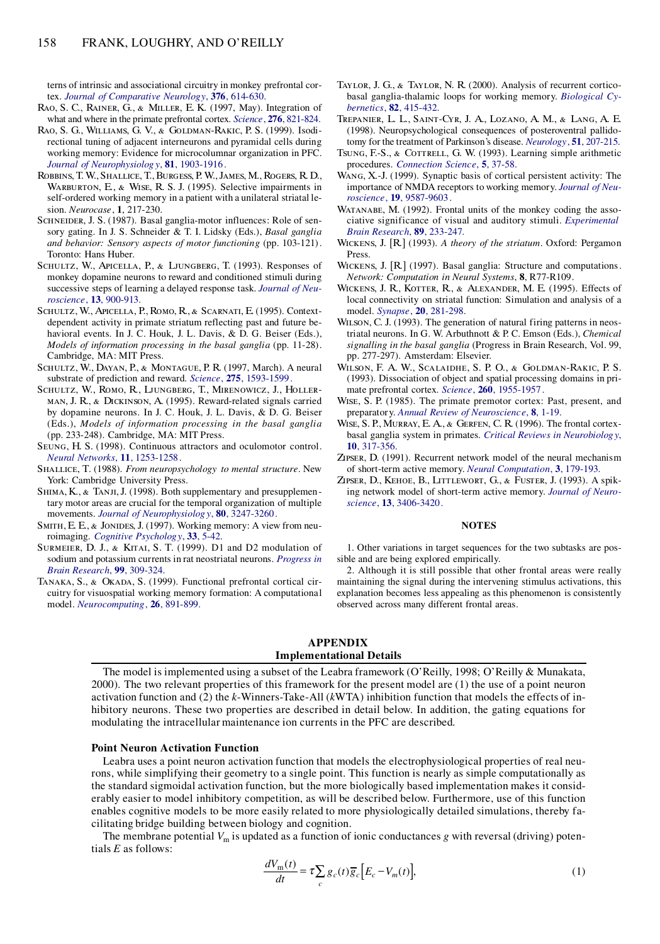terns of intrinsic and associational circuitry in monkey prefrontal cortex. *[Journal of Comparative Neurology](http://lindoro.catchword.com/nw=1/rpsv/cgi-bin/linker?ext=a&reqidx=/0021-9967^28^29376L.614[aid=1532847])*, **376**, 614-630.

- Rao, S. C., Rainer, G., & Miller, E. K. (1997, May). Integration of what and where in the primate prefrontal cortex. *Science*, **276**[, 821-824.](http://lindoro.catchword.com/nw=1/rpsv/cgi-bin/linker?ext=a&reqidx=/0036-8075^28^29276L.821[aid=213496])
- Rao, S. G., Williams, G. V., & Goldman-Rakic, P. S. (1999). Isodirectional tuning of adjacent interneurons and pyramidal cells during working memory: Evidence for microcolumnar organization in PFC. *[Journal of Neurophysiolog](http://lindoro.catchword.com/nw=1/rpsv/cgi-bin/linker?ext=a&reqidx=/0022-3077^28^2981L.1903[aid=1532848]) y*, **81**, 1903-1916.
- Robbins, T. W., Shallice, T., Burgess, P. W., James, M., Rogers, R. D., WARBURTON, E., & WISE, R. S. J. (1995). Selective impairments in self-ordered working memory in a patient with a unilateral striatal le sion. *Neurocase*, **1**, 217-230.
- SCHNEIDER, J. S. (1987). Basal ganglia-motor influences: Role of sensory gating. In J. S. Schneider & T. I. Lidsky (Eds.), *Basal ganglia and behavior: Sensory aspects of motor functioning* (pp. 103-121). Toronto: Hans Huber.
- SCHULTZ, W., APICELLA, P., & LJUNGBERG, T. (1993). Responses of monkey dopamine neurons to reward and conditioned stimuli during successive steps of learning a delayed response task. *[Journal of Neu](http://lindoro.catchword.com/nw=1/rpsv/cgi-bin/linker?ext=a&reqidx=/0270-6474^28^2913L.900[aid=846967]) roscience*, **13**[, 900-913.](http://lindoro.catchword.com/nw=1/rpsv/cgi-bin/linker?ext=a&reqidx=/0270-6474^28^2913L.900[aid=846967])
- Schultz, W., Apicella, P., Romo, R., & Scarnati, E. (1995). Context dependent activity in primate striatum reflecting past and future be havioral events. In J. C. Houk, J. L. Davis, & D. G. Beiser (Eds.), *Models of information processing in the basal ganglia* (pp. 11-28). Cambridge, MA: MIT Press.
- Schultz, W., Dayan, P., & Montague, P. R. (1997, March). A neural substrate of prediction and reward. *Science*, **275**[, 1593-1599.](http://lindoro.catchword.com/nw=1/rpsv/cgi-bin/linker?ext=a&reqidx=/0036-8075^28^29275L.1593[aid=212511])
- SCHULTZ, W., ROMO, R., LJUNGBERG, T., MIRENOWICZ, J., HOLLERman, J. R., & Dickinson, A. (1995). Reward-related signals carried by dopamine neurons. In J. C. Houk, J. L. Davis, & D. G. Beiser (Eds.), *Models of information processing in the basal ganglia* (pp. 233-248). Cambridge, MA: MIT Press.
- Seung, H. S. (1998). Continuous attractors and oculomotor control. *[Neural Networks](http://lindoro.catchword.com/nw=1/rpsv/cgi-bin/linker?ext=a&reqidx=/0893-6080^28^2911L.1253[aid=1532850])*, **11**, 1253-1258.
- Shallice, T. (1988). *From neuropsychology to mental structure*. New York: Cambridge University Press.
- SHIMA, K., & TANJI, J. (1998). Both supplementary and presupplementary motor areas are crucial for the temporal organization of multiple movements. *[Journal of Neurophysiolog](http://lindoro.catchword.com/nw=1/rpsv/cgi-bin/linker?ext=a&reqidx=/0022-3077^28^2980L.3247[aid=1532851]) y*, **80**, 3247-3260.
- SMITH, E. E., & JONIDES, J. (1997). Working memory: A view from neuroimaging. *[Cognitive Psychology](http://lindoro.catchword.com/nw=1/rpsv/cgi-bin/linker?ext=a&reqidx=/0010-0285^28^2933L.5[aid=213742])*, **33**, 5-42.
- Surmeier, D. J., & Kitai, S. T. (1999). D1 and D2 modulation of sodium and potassium currents in rat neostriatal neurons. *[Progress in](http://lindoro.catchword.com/nw=1/rpsv/cgi-bin/linker?ext=a&reqidx=/0079-6123^28^2999L.309[aid=1532852]) [Brain Research](http://lindoro.catchword.com/nw=1/rpsv/cgi-bin/linker?ext=a&reqidx=/0079-6123^28^2999L.309[aid=1532852])*, **99**, 309-324.
- TANAKA, S., & OKADA, S. (1999). Functional prefrontal cortical circuitry for visuospatial working memory formation: A computational model. *[Neurocomputing](http://lindoro.catchword.com/nw=1/rpsv/cgi-bin/linker?ext=a&reqidx=/0925-2312^28^2926L.891[aid=1532853])*, **26**, 891-899.
- Taylor, J. G., & Taylor, N. R. (2000). Analysis of recurrent cortico basal ganglia-thalamic loops for working memory. *[Biological Cy](http://lindoro.catchword.com/nw=1/rpsv/cgi-bin/linker?ext=a&reqidx=/0340-1200^28^2982L.415[aid=1532854]) bernetics*, **82**[, 415-432.](http://lindoro.catchword.com/nw=1/rpsv/cgi-bin/linker?ext=a&reqidx=/0340-1200^28^2982L.415[aid=1532854])
- Trepanier, L. L., Saint-Cyr, J. A., Lozano, A. M., & Lang, A. E. (1998). Neuropsychological consequences of posteroventral pallidotomy for the treatment of Parkinson's disease. *[Neurology](http://lindoro.catchword.com/nw=1/rpsv/cgi-bin/linker?ext=a&reqidx=/0340-5354^28^2951L.207[aid=1532855])*, **51**, 207-215.
- TSUNG, F.-S., & COTTRELL, G. W. (1993). Learning simple arithmetic procedures. *[Connection Science](http://lindoro.catchword.com/nw=1/rpsv/cgi-bin/linker?ext=a&reqidx=/0954-0091^28^295L.37[aid=303197])*, **5**, 37-58.
- Wang, X.-J. (1999). Synaptic basis of cortical persistent activity: The importance of NMDA receptors to working memory. *[Journal of Neu](http://lindoro.catchword.com/nw=1/rpsv/cgi-bin/linker?ext=a&reqidx=/0270-6474^28^2919L.9587[aid=1532856]) roscience*, **19**[, 9587-9603.](http://lindoro.catchword.com/nw=1/rpsv/cgi-bin/linker?ext=a&reqidx=/0270-6474^28^2919L.9587[aid=1532856])
- WATANABE, M. (1992). Frontal units of the monkey coding the associative significance of visual and auditory stimuli. *[Experimental](http://lindoro.catchword.com/nw=1/rpsv/cgi-bin/linker?ext=a&reqidx=/0014-4819^28^2989L.233[aid=1532857]) [Brain Research](http://lindoro.catchword.com/nw=1/rpsv/cgi-bin/linker?ext=a&reqidx=/0014-4819^28^2989L.233[aid=1532857])*, **89**, 233-247.
- Wickens, J. [R.] (1993). *A theory of the striatum*. Oxford: Pergamon Press.
- Wickens, J. [R.] (1997). Basal ganglia: Structure and computations. *Network: Computation in Neural Systems*, **8**, R77-R109.
- Wickens, J. R., Kotter, R., & Alexander, M. E. (1995). Effects of local connectivity on striatal function: Simulation and analysis of a model. *Synapse*, **20**[, 281-298.](http://lindoro.catchword.com/nw=1/rpsv/cgi-bin/linker?ext=a&reqidx=/0887-4476^28^2920L.281[aid=1532858])
- WILSON, C. J. (1993). The generation of natural firing patterns in neostriatal neurons. In G. W. Arbuthnott & P. C. Emson (Eds.), *Chemical signalling in the basal ganglia* (Progress in Brain Research, Vol. 99, pp. 277-297). Amsterdam: Elsevier.
- Wilson, F. A. W., Scalaidhe, S. P. O., & Goldman-Rakic, P. S. (1993). Dissociation of object and spatial processing domains in pri mate prefrontal cortex. *Science*, **260**[, 1955-1957.](http://lindoro.catchword.com/nw=1/rpsv/cgi-bin/linker?ext=a&reqidx=/0036-8075^28^29260L.1955[aid=211670])
- Wise, S. P. (1985). The primate premotor cortex: Past, present, and preparatory. *[Annual Review of Neuroscience](http://lindoro.catchword.com/nw=1/rpsv/cgi-bin/linker?ext=a&reqidx=/0147-006X^28^298L.1[aid=259000])*, **8**, 1-19.
- WISE, S. P., MURRAY, E. A., & GERFEN, C. R. (1996). The frontal cortexbasal ganglia system in primates. *[Critical Reviews in Neurobiolog](http://lindoro.catchword.com/nw=1/rpsv/cgi-bin/linker?ext=a&reqidx=/0892-0915^28^2910L.317[aid=212748]) y*,**10**[, 317-356.](http://lindoro.catchword.com/nw=1/rpsv/cgi-bin/linker?ext=a&reqidx=/0892-0915^28^2910L.317[aid=212748])
- Zipser, D. (1991). Recurrent network model of the neural mechanism of short-term active memory. *[Neural Computation](http://lindoro.catchword.com/nw=1/rpsv/cgi-bin/linker?ext=a&reqidx=/0899-7667^28^293L.179[aid=212749])*, **3**, 179-193.
- Zipser, D., Kehoe, B., Littlewort, G., & Fuster, J. (1993). A spiking network model of short-term active memory. *[Journal of Neuro](http://lindoro.catchword.com/nw=1/rpsv/cgi-bin/linker?ext=a&reqidx=/0270-6474^28^2913L.3406[aid=212751]) science*, **13**[, 3406-3420.](http://lindoro.catchword.com/nw=1/rpsv/cgi-bin/linker?ext=a&reqidx=/0270-6474^28^2913L.3406[aid=212751])

#### **NOTES**

1. Other variations in target sequences for the two subtasks are pos sible and are being explored empirically.

2. Although it is still possible that other frontal areas were really maintaining the signal during the intervening stimulus activations, this explanation becomes less appealing as this phenomenon is consistently observed across many different frontal areas.

#### **APPENDIX Implementational Details**

The model is implemented using a subset of the Leabra framework (O'Reilly, 1998; O'Reilly & Munakata, 2000). The two relevant properties of this framework for the present model are (1) the use of a point neuron activation function and (2) the *k*-Winners-Take-All (*k*WTA) inhibition function that models the effects of in hibitory neurons. These two properties are described in detail below. In addition, the gating equations for modulating the intracellular maintenance ion currents in the PFC are described.

#### **Point Neuron Activation Function**

Leabra uses a point neuron activation function that models the electrophysiological properties of real neurons, while simplifying their geometry to a single point. This function is nearly as simple computationally as the standard sigmoidal activation function, but the more biologically based implementation makes it consid erably easier to model inhibitory competition, as will be described below. Furthermore, use of this function enables cognitive models to be more easily related to more physiologically detailed simulations, thereby fa cilitating bridge building between biology and cognition.

The membrane potential  $V_m$  is updated as a function of ionic conductances  $g$  with reversal (driving) potentials *E* as follows:

$$
\frac{dV_m(t)}{dt} = \tau \sum_c g_c(t) \overline{g}_c \Big[ E_c - V_m(t) \Big],\tag{1}
$$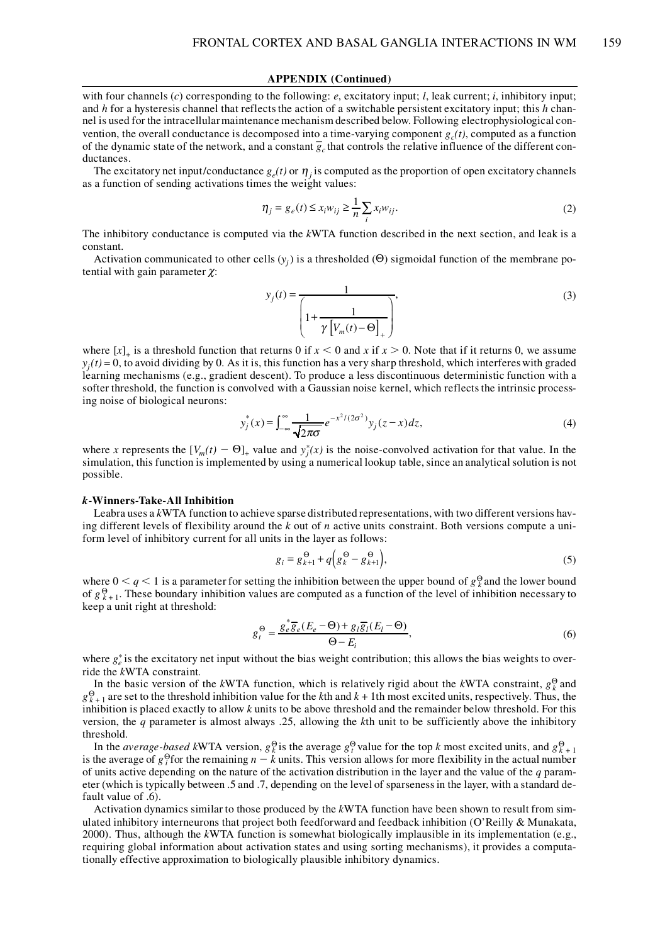#### **APPENDIX (Continued)**

with four channels (*c*) corresponding to the following: *e*, excitatory input; *l*, leak current; *i*, inhibitory input; and *h* for a hysteresis channel that reflects the action of a switchable persistent excitatory input; this *h* channel is used for the intracellular maintenance mechanism described below. Following electrophysiological con vention, the overall conductance is decomposed into a time-varying component *gc(t)*, computed as a function of the dynamic state of the network, and a constant  $\overline{g}_c$  that controls the relative influence of the different conductances.

The excitatory net input/conductance  $g_e(t)$  or  $\eta_j$  is computed as the proportion of open excitatory channels as a function of sending activations times the weight values:

$$
\eta_j = g_e(t) \le x_i w_{ij} \ge \frac{1}{n} \sum_i x_i w_{ij}.
$$
\n(2)

The inhibitory conductance is computed via the *k*WTA function described in the next section, and leak is a constant.

Activation communicated to other cells  $(y_i)$  is a thresholded ( $\Theta$ ) sigmoidal function of the membrane potential with gain parameter  $\chi$ :

$$
y_j(t) = \frac{1}{\left(1 + \frac{1}{\gamma \left[V_m(t) - \Theta\right]_+}\right)},\tag{3}
$$

where  $[x]_+$  is a threshold function that returns 0 if  $x < 0$  and  $x$  if  $x > 0$ . Note that if it returns 0, we assume  $y_i(t) = 0$ , to avoid dividing by 0. As it is, this function has a very sharp threshold, which interferes with graded learning mechanisms (e.g., gradient descent). To produce a less discontinuous deterministic function with a softer threshold, the function is convolved with a Gaussian noise kernel, which reflects the intrinsic processing noise of biological neurons:

$$
y_j^*(x) = \int_{-\infty}^{\infty} \frac{1}{\sqrt{2\pi\sigma}} e^{-x^2/(2\sigma^2)} y_j(z - x) dz,
$$
 (4)

where *x* represents the  $[V_m(t) - \Theta]_+$  value and  $y_j^*(x)$  is the noise-convolved activation for that value. In the simulation, this function is implemented by using a numerical lookup table, since an analytical solution is not possible.

### *k***-Winners-Take-All Inhibition**

Leabra uses a *k*WTA function to achieve sparse distributed representations, with two different versions having different levels of flexibility around the *k* out of *n* active units constraint. Both versions compute a uniform level of inhibitory current for all units in the layer as follows:

$$
g_i = g_{k+1}^{\Theta} + q \left( g_k^{\Theta} - g_{k+1}^{\Theta} \right),\tag{5}
$$

where  $0 \le q \le 1$  is a parameter for setting the inhibition between the upper bound of  $g_k^{\Theta}$  and the lower bound of  $g_{k+1}^{\Theta}$ . These boundary inhibition values are computed as a function of the level of inhibition necessary to keep a unit right at threshold:

$$
g_t^{\Theta} = \frac{g_e^* \overline{g}_e (E_e - \Theta) + g_l \overline{g}_l (E_l - \Theta)}{\Theta - E_i},
$$
\n(6)

where  $g_e^*$  is the excitatory net input without the bias weight contribution; this allows the bias weights to override the *k*WTA constraint.

In the basic version of the *kWTA* function, which is relatively rigid about the *kWTA* constraint,  $g_k^{\Theta}$  and  $g_{k+1}^{\Theta}$  are set to the threshold inhibition value for the *k*th and  $k+1$ th most excited units, respectively. Thus, the inhibition is placed exactly to allow *k* units to be above threshold and the remainder below threshold. For this version, the *q* parameter is almost always .25, allowing the *k*th unit to be sufficiently above the inhibitory threshold.

In the *average-based* kWTA version,  $g_k^{\Theta}$  is the average  $g_t^{\Theta}$  value for the top *k* most excited units, and  $g_{k+1}^{\Theta}$ is the average of  $g^{\Theta}_{i}$  for the remaining  $n - k$  units. This version allows for more flexibility in the actual number of units active depending on the nature of the activation distribution in the layer and the value of the  $q$  parameter (which is typically between .5 and .7, depending on the level of sparseness in the layer, with a standard default value of .6).

Activation dynamics similar to those produced by the *k*WTA function have been shown to result from sim ulated inhibitory interneurons that project both feedforward and feedback inhibition (O'Reilly & Munakata, 2000). Thus, although the *k*WTA function is somewhat biologically implausible in its implementation (e.g., requiring global information about activation states and using sorting mechanisms), it provides a computationally effective approximation to biologically plausible inhibitory dynamics.